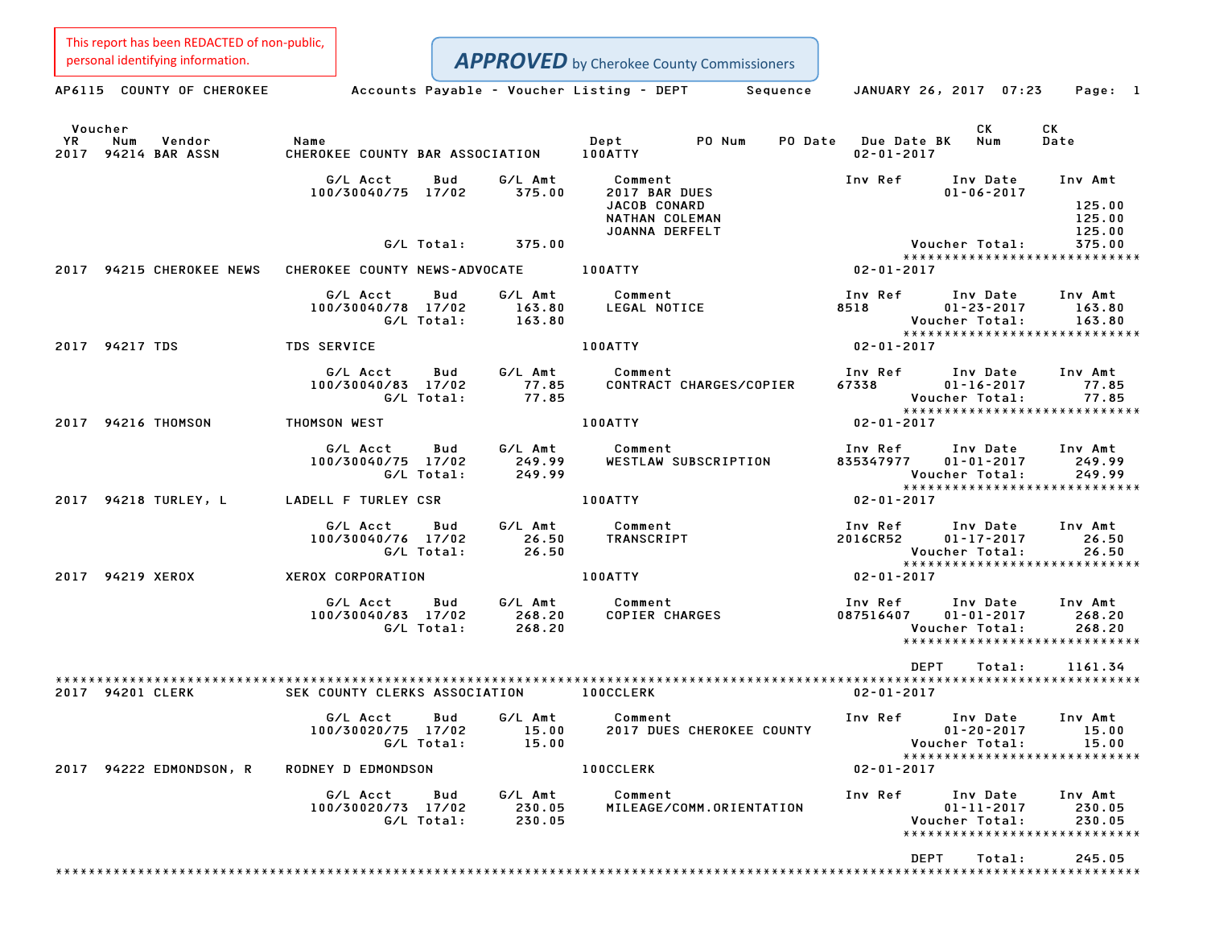This report has been REDACTED of non-public,

|               | personal identifying information.    |                                         |                   |                             |                       | <b>APPROVED</b> by Cherokee County Commissioners                                |                                         |                                                                                 |                                       |
|---------------|--------------------------------------|-----------------------------------------|-------------------|-----------------------------|-----------------------|---------------------------------------------------------------------------------|-----------------------------------------|---------------------------------------------------------------------------------|---------------------------------------|
|               | AP6115 COUNTY OF CHEROKEE            |                                         |                   |                             |                       | Accounts Payable – Voucher Listing – DEPT         Sequence                      |                                         | JANUARY 26, 2017 07:23                                                          | Page: 1                               |
| Voucher<br>YR | Num<br>Vendor<br>2017 94214 BAR ASSN | Name<br>CHEROKEE COUNTY BAR ASSOCIATION |                   |                             | Dept<br>100ATTY       | PO Num                                                                          | PO Date Due Date BK<br>$02 - 01 - 2017$ | СK<br>Num                                                                       | CK<br>Date                            |
|               |                                      | G/L Acct<br>100/30040/75 17/02          | Bud               | G/L Amt<br>375.00           | Comment               | 2017 BAR DUES<br><b>JACOB CONARD</b><br>NATHAN COLEMAN<br><b>JOANNA DERFELT</b> | Inv Ref                                 | Inv Date<br>$01 - 06 - 2017$                                                    | Inv Amt<br>125.00<br>125.00<br>125.00 |
|               |                                      |                                         | G/L Total:        | 375.00                      |                       |                                                                                 |                                         | Voucher Total:<br>******************************                                | 375.00                                |
|               | 2017 94215 CHEROKEE NEWS             | CHEROKEE COUNTY NEWS-ADVOCATE           |                   |                             | 100ATTY               |                                                                                 | $02 - 01 - 2017$                        |                                                                                 |                                       |
|               |                                      | G/L Acct<br>100/30040/78 17/02          | Bud<br>G/L Total: | G/L Amt<br>163.80<br>163.80 | Comment               | LEGAL NOTICE                                                                    | Inv Ref<br>8518                         | Inv Date<br>$01 - 23 - 2017$<br>Voucher Total:<br>***************************** | Inv Amt<br>163.80<br>163.80           |
|               | 2017 94217 TDS                       | <b>TDS SERVICE</b>                      |                   |                             | 100ATTY               |                                                                                 | $02 - 01 - 2017$                        |                                                                                 |                                       |
|               |                                      | G/L Acct<br>100/30040/83 17/02          | Bud<br>G/L Total: | G/L Amt<br>77.85<br>77.85   | Comment               | CONTRACT CHARGES/COPIER                                                         | Inv Ref<br>67338                        | Inv Date<br>$01 - 16 - 2017$<br>Voucher Total:<br>***************************** | Inv Amt<br>77.85<br>77.85             |
|               | 2017 94216 THOMSON                   | THOMSON WEST                            |                   |                             | 100ATTY               |                                                                                 | $02 - 01 - 2017$                        |                                                                                 |                                       |
|               |                                      | G/L Acct<br>100/30040/75 17/02          | Bud<br>G/L Total: | G/L Amt<br>249.99<br>249.99 | Comment               | WESTLAW SUBSCRIPTION                                                            | Inv Ref<br>835347977                    | Inv Date<br>$01 - 01 - 2017$<br>Voucher Total:                                  | Inv Amt<br>249.99<br>249.99           |
|               | 2017 94218 TURLEY, L                 | LADELL F TURLEY CSR                     |                   |                             | 100ATTY               |                                                                                 | $02 - 01 - 2017$                        | *****************************                                                   |                                       |
|               |                                      | G/L Acct<br>100/30040/76 17/02          | Bud<br>G/L Total: | G/L Amt<br>26.50<br>26.50   | Comment<br>TRANSCRIPT |                                                                                 | Inv Ref<br>2016CR52                     | Inv Date<br>$01 - 17 - 2017$<br>Voucher Total:<br>***************************** | Inv Amt<br>26.50<br>26.50             |
|               | 2017 94219 XEROX                     | XEROX CORPORATION                       |                   |                             | 100ATTY               |                                                                                 | $02 - 01 - 2017$                        |                                                                                 |                                       |
|               |                                      | G/L Acct<br>100/30040/83 17/02          | Bud<br>G/L Total: | G/L Amt<br>268.20<br>268.20 | Comment               | <b>COPIER CHARGES</b>                                                           | Inv Ref<br>087516407                    | Inv Date<br>$01 - 01 - 2017$<br>Voucher Total:<br>***************************** | Inv Amt<br>268.20<br>268.20           |
|               |                                      |                                         |                   |                             |                       |                                                                                 |                                         | <b>DEPT</b><br>Total:                                                           | 1161.34                               |
|               | 2017 94201 CLERK                     | SEK COUNTY CLERKS ASSOCIATION           |                   |                             | <b>100CCLERK</b>      |                                                                                 | $02 - 01 - 2017$                        |                                                                                 |                                       |
|               |                                      | G/L Acct<br>100/30020/75 17/02          | Bud<br>G/L Total: | G/L Amt<br>15.00<br>15.00   | Comment               | 2017 DUES CHEROKEE COUNTY                                                       | Inv Ref                                 | Inv Date<br>$01 - 20 - 2017$<br>Voucher Total:<br>***************************** | Inv Amt<br>15.00<br>15.00             |
|               | 2017 94222 EDMONDSON, R              | RODNEY D EDMONDSON                      |                   |                             | <b>100CCLERK</b>      |                                                                                 | $02 - 01 - 2017$                        |                                                                                 |                                       |
|               |                                      | G/L Acct<br>100/30020/73 17/02          | Bud<br>G/L Total: | G/L Amt<br>230.05<br>230.05 | Comment               | MILEAGE/COMM.ORIENTATION                                                        | Inv Ref                                 | Inv Date<br>$01 - 11 - 2017$<br>Voucher Total:<br>***************************** | Inv Amt<br>230.05<br>230.05           |
|               |                                      |                                         |                   |                             |                       |                                                                                 |                                         | <b>DEPT</b><br>Total:                                                           | 245.05                                |
|               |                                      |                                         |                   |                             |                       |                                                                                 |                                         |                                                                                 |                                       |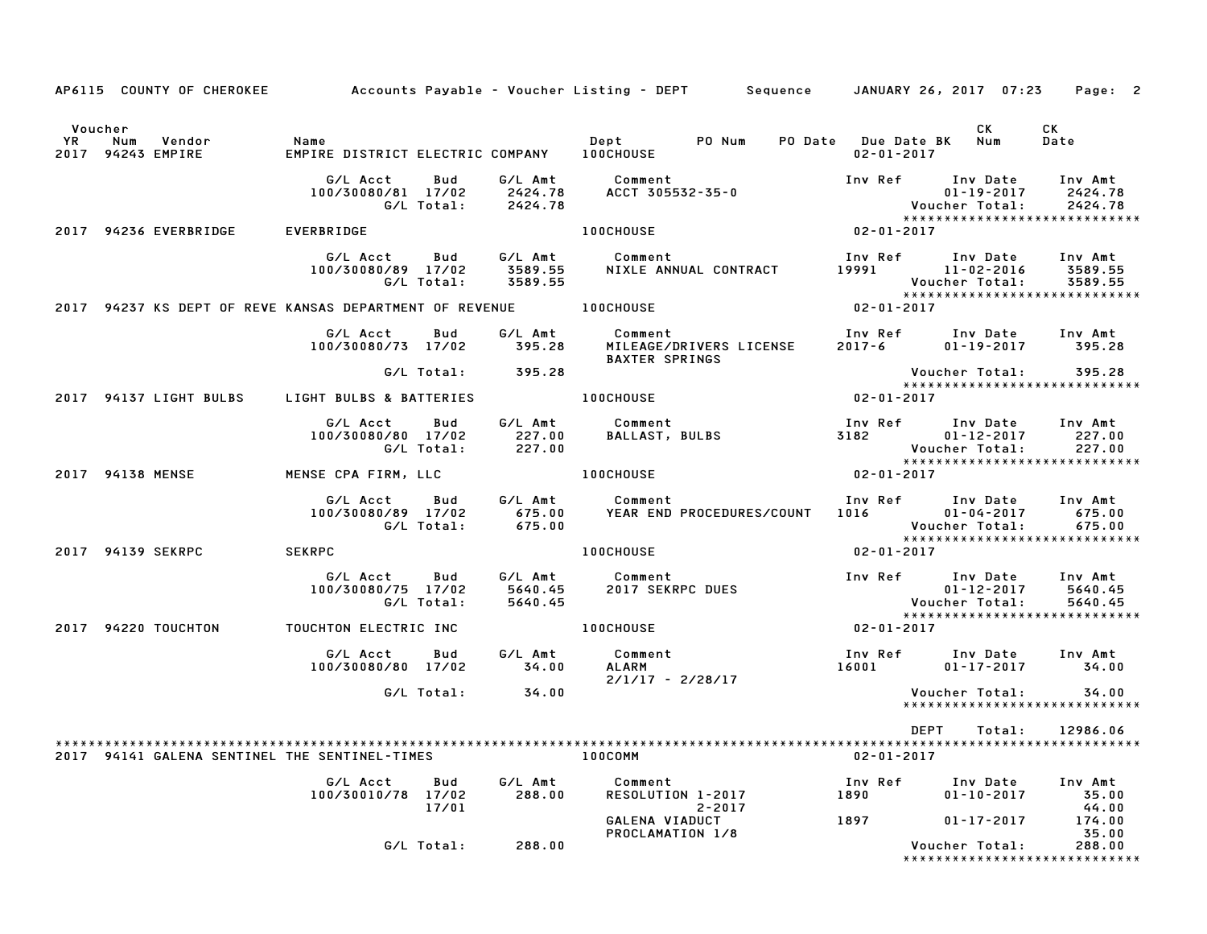|                      |                  | AP6115 COUNTY OF CHEROKEE   |                                                                      |                          |                               | Accounts Payable – Voucher Listing – DEPT       Sequence     JANUARY 26, 2017  07:23 |                                         |                                                         | Page: 2                                                        |
|----------------------|------------------|-----------------------------|----------------------------------------------------------------------|--------------------------|-------------------------------|--------------------------------------------------------------------------------------|-----------------------------------------|---------------------------------------------------------|----------------------------------------------------------------|
| Voucher<br><b>YR</b> | Num              | Vendor<br>2017 94243 EMPIRE | Name<br>EMPIRE DISTRICT ELECTRIC COMPANY    IOOCHOUSE                |                          |                               | Dept PO Num                                                                          | PO Date Due Date BK<br>$02 - 01 - 2017$ | CK<br>Num                                               | CK<br>Date                                                     |
|                      |                  |                             | G/L Acct<br>100/30080/81 17/02                                       | <b>Bud</b><br>G/L Total: | G/L Amt<br>2424.78<br>2424.78 | Comment<br>ACCT 305532-35-0                                                          |                                         | Inv Ref Inv Date<br>$01 - 19 - 2017$<br>Voucher Total:  | Inv Amt<br>2424.78<br>2424.78<br>***************************** |
|                      |                  | 2017 94236 EVERBRIDGE       | EVERBRIDGE                                                           |                          |                               | <b>100CHOUSE</b>                                                                     | $02 - 01 - 2017$                        |                                                         |                                                                |
|                      |                  |                             | G/L Acct<br>100/30080/89 17/02                                       | Bud<br>G/L Total:        | G/L Amt<br>3589.55<br>3589.55 | Comment<br>NIXLE ANNUAL CONTRACT                                                     | 19991 11-02-2016                        | Inv Ref Inv Date<br>Voucher Total:                      | Inv Amt<br>3589.55<br>3589.55                                  |
|                      |                  |                             | 2017 94237 KS DEPT OF REVE KANSAS DEPARTMENT OF REVENUE TO LOOCHOUSE |                          |                               |                                                                                      | $02 - 01 - 2017$                        |                                                         | *****************************                                  |
|                      |                  |                             | G/L Acct<br>100/30080/73 17/02                                       | Bud                      | G⁄L Amt<br>395.28             | Comment<br>MILEAGE/DRIVERS LICENSE<br><b>BAXTER SPRINGS</b>                          | $2017 - 6$                              | Inv Ref      Inv Date<br>$01 - 19 - 2017$ 395.28        | Inv Amt                                                        |
|                      |                  |                             |                                                                      | G/L Total:               | 395.28                        |                                                                                      |                                         | Voucher Total:                                          | 395.28<br>*****************************                        |
|                      |                  | 2017 94137 LIGHT BULBS      | LIGHT BULBS & BATTERIES                                              |                          |                               | <b>100CHOUSE</b>                                                                     | 02-01-2017                              |                                                         |                                                                |
|                      |                  |                             | G/L Acct<br>100/30080/80 17/02                                       | Bud<br>G/L Total:        | 227.00<br>227.00              | G/L Amt Comment<br><b>BALLAST, BULBS</b>                                             | Inv Ref Inv Date Inv Amt<br>3182        | $01 - 12 - 2017$<br>Voucher Total:                      | 227.00<br>227.00                                               |
|                      | 2017 94138 MENSE |                             | MENSE CPA FIRM, LLC                                                  |                          |                               | <b>100CHOUSE</b>                                                                     | $02 - 01 - 2017$                        |                                                         | *****************************                                  |
|                      |                  |                             | G/L Acct<br>100/30080/89 17/02                                       | Bud<br>G/L Total:        | G/L Amt<br>675.00<br>675.00   | Comment<br>YEAR END PROCEDURES/COUNT                                                 | 1016 70                                 | Inv Ref Inv Date<br>$01 - 04 - 2017$<br>Voucher Total:  | Inv Amt<br>675.00<br>675.00<br>*****************************   |
|                      |                  | 2017 94139 SEKRPC           | <b>SEKRPC</b>                                                        |                          |                               | 100CHOUSE                                                                            | 02-01-2017                              |                                                         |                                                                |
|                      |                  |                             | G/L Acct<br>100/30080/75 17/02                                       | Bud<br>G/L Total:        | 5640.45                       | G/L Amt Comment<br>5640.45 2017 SEKRPC DUES                                          |                                         | Inv Ref Inv Date<br>01-12-2017<br><b>Voucher Total:</b> | Inv Amt<br>5640.45<br>5640.45                                  |
|                      |                  | 2017 94220 TOUCHTON         | TOUCHTON ELECTRIC INC <b>And All ACTION</b> 100CHOUSE                |                          |                               |                                                                                      | 02-01-2017                              |                                                         | *****************************                                  |
|                      |                  |                             | G/L Acct<br>100/30080/80 17/02                                       | Bud                      | G/L Amt<br>34.00              | Comment<br>ALARM<br>$2/1/17 - 2/28/17$                                               | 16001 2002                              | Inv Ref Inv Date<br>01-17-2017                          | Inv Amt<br>34.00                                               |
|                      |                  |                             |                                                                      | G/L Total:               | 34.00                         |                                                                                      |                                         | Voucher Total:                                          | 34.00<br>******************************                        |
|                      |                  |                             |                                                                      |                          |                               |                                                                                      | DEPT                                    | Total:                                                  | 12986.06                                                       |
|                      |                  |                             | 2017 94141 GALENA SENTINEL THE SENTINEL-TIMES                        |                          |                               | 100COMM                                                                              | $02 - 01 - 2017$                        |                                                         |                                                                |
|                      |                  |                             | G/L Acct<br>100/30010/78                                             | Bud<br>17/02<br>17/01    | G/L Amt<br>288.00             | Comment<br>RESOLUTION 1-2017<br>$2 - 2017$                                           | Inv Ref<br>1890<br>1897                 | Inv Date<br>$01 - 10 - 2017$                            | Inv Amt<br>35.00<br>44.00<br>174.00                            |
|                      |                  |                             |                                                                      | G/L Total:               | 288.00                        | GALENA VIADUCT<br>PROCLAMATION 1/8                                                   |                                         | $01 - 17 - 2017$<br>Voucher Total:                      | 35.00<br>288.00<br>*****************************               |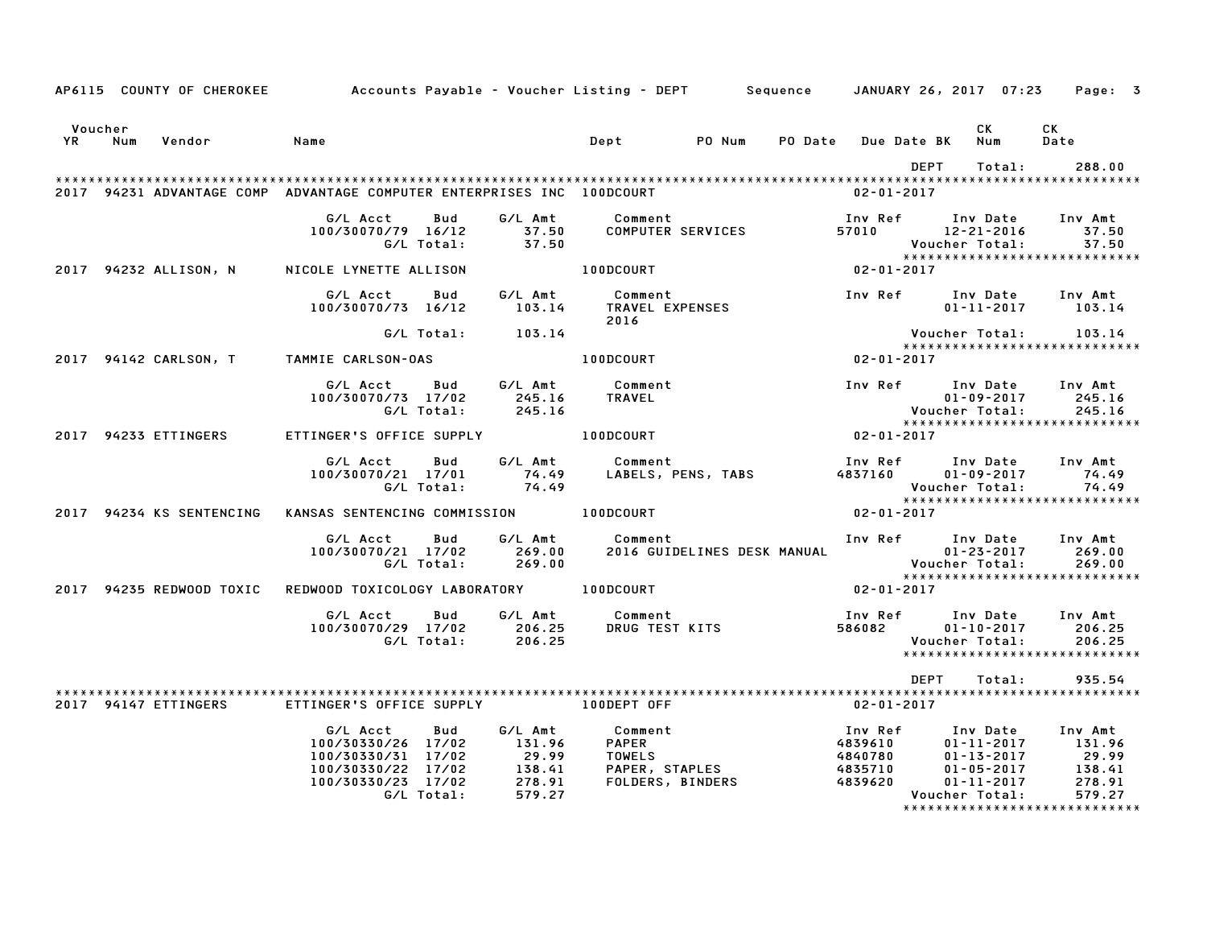|                   |                      | AP6115 COUNTY OF CHEROKEE Accounts Payable - Voucher Listing - DEPT Sequence JANUARY 26, 2017 07:23 Page: 3                                                                                                                          |     |                   |                                                                                                                    |                           |                         |                                  |      |        |                                                                                                                          |  |
|-------------------|----------------------|--------------------------------------------------------------------------------------------------------------------------------------------------------------------------------------------------------------------------------------|-----|-------------------|--------------------------------------------------------------------------------------------------------------------|---------------------------|-------------------------|----------------------------------|------|--------|--------------------------------------------------------------------------------------------------------------------------|--|
| Voucher<br>YR Num | Vendor Name          |                                                                                                                                                                                                                                      |     |                   | Dept PO Num                                                                                                        |                           | PO Date Due Date BK Num |                                  | CK L |        | CK<br>Date                                                                                                               |  |
|                   |                      |                                                                                                                                                                                                                                      |     |                   |                                                                                                                    |                           |                         | DEPT                             |      | Total: | 288.00                                                                                                                   |  |
|                   |                      | 2017 94231 ADVANTAGE COMP ADVANTAGE COMPUTER ENTERPRISES INC 100DCOURT                                                                                                                                                               |     |                   |                                                                                                                    |                           | $02 - 01 - 2017$        |                                  |      |        |                                                                                                                          |  |
|                   |                      | G/L Acct<br>100/30070/79 16/12 37.50                                                                                                                                                                                                 | Bud | G/L Total: 37.50  | G/L Amt Comment 1nv Ref Inv Date Inv Amt<br>37.50 COMPUTER SERVICES 57010 12–21–2016 37.50<br>Voucher Total: 37.50 |                           |                         | Voucher Total:<br>Voucher Total: |      |        | *****************************                                                                                            |  |
|                   |                      | 2017 94232 ALLISON, N NICOLE LYNETTE ALLISON                                                                                                                                                                                         |     |                   | 100DCOURT 02-01-2017                                                                                               |                           |                         |                                  |      |        |                                                                                                                          |  |
|                   |                      | G/L Acct  Bud  G/L Amt  Comment  Comment  Inv Ref  Inv Date  Inv Amt  Inv 2017    107.14                                                                                                                                             |     |                   | 2016                                                                                                               |                           |                         |                                  |      |        |                                                                                                                          |  |
|                   |                      |                                                                                                                                                                                                                                      |     | G/L Total: 103.14 |                                                                                                                    |                           |                         |                                  |      |        | Voucher Total: 103.14                                                                                                    |  |
|                   |                      | 2017 94142 CARLSON, T TAMMIE CARLSON-OAS                                                                                                                                                                                             |     |                   |                                                                                                                    |                           |                         |                                  |      |        | *****************************                                                                                            |  |
|                   |                      |                                                                                                                                                                                                                                      |     |                   |                                                                                                                    |                           |                         |                                  |      |        |                                                                                                                          |  |
|                   |                      | G/L Acct Bud G/L Amt Comment<br>100/30070/73 17/02 245.16 TRAVEL                                                                                                                                                                     |     | G/L Total: 245.16 |                                                                                                                    |                           |                         |                                  |      |        | Inv Ref Inv Date Inv Amt<br>01-09-2017<br>Voucher Total: 245.16<br>*******************************                       |  |
|                   | 2017 94233 ETTINGERS | ETTINGER'S OFFICE SUPPLY 100DCOURT 02-01-2017                                                                                                                                                                                        |     |                   |                                                                                                                    |                           |                         |                                  |      |        |                                                                                                                          |  |
|                   |                      |                                                                                                                                                                                                                                      |     |                   |                                                                                                                    |                           |                         |                                  |      |        |                                                                                                                          |  |
|                   |                      | G/L Acct Bud G/L Amt Comment Inv Ref Inv Date Inv Amt<br>100/30070/21 17/01 74.49 LABELS, PENS, TABS 4837160 01–09–2017 74.49<br>G/L Total: 74.49 Voucher Total: 74.49                                                               |     |                   |                                                                                                                    |                           |                         |                                  |      |        | Voucher Total: 74.49<br>***************************                                                                      |  |
|                   |                      | 2017 94234 KS SENTENCING KANSAS SENTENCING COMMISSION 100DCOURT                                                                                                                                                                      |     |                   |                                                                                                                    |                           | $02 - 01 - 2017$        |                                  |      |        |                                                                                                                          |  |
|                   |                      |                                                                                                                                                                                                                                      |     |                   |                                                                                                                    |                           |                         |                                  |      |        |                                                                                                                          |  |
|                   |                      | G/L Acct Bud G/L Amt Comment 111, 269.00<br>100/30070/21 17/02 269.00 2016 GUIDELINES DESK MANUAL 01-23-2017 269.00<br>6/L Total: 269.00 6/L Total: 269.00                                                                           |     |                   |                                                                                                                    |                           |                         |                                  |      |        | Inv Ref Inv Date Inv Amt                                                                                                 |  |
|                   |                      | 2017 94235 REDWOOD TOXIC REDWOOD TOXICOLOGY LABORATORY 100DCOURT 40 2018 100-01-2017                                                                                                                                                 |     |                   |                                                                                                                    |                           |                         |                                  |      |        |                                                                                                                          |  |
|                   |                      |                                                                                                                                                                                                                                      |     |                   |                                                                                                                    |                           |                         |                                  |      |        |                                                                                                                          |  |
|                   |                      | G/L Acct Bud G/L Amt Comment<br>100/30070/29 17/02 206.25 DRUG TEST<br>G/L Total: 206.25                                                                                                                                             |     |                   |                                                                                                                    | Comment<br>DRUG TEST KITS |                         | Voucher Total:                   |      |        | Inv Ref      Inv Date     Inv Amt<br>586082          01-10-2017        206.25<br>206.25<br>***************************** |  |
|                   |                      |                                                                                                                                                                                                                                      |     |                   |                                                                                                                    |                           |                         |                                  |      |        |                                                                                                                          |  |
|                   |                      |                                                                                                                                                                                                                                      |     |                   |                                                                                                                    |                           |                         | DEPT                             |      | Total: | 935.54                                                                                                                   |  |
|                   |                      | 2017 94147 ETTINGERS ETTINGER'S OFFICE SUPPLY TO DODEPT OFF                                                                                                                                                                          |     |                   |                                                                                                                    |                           | $02 - 01 - 2017$        |                                  |      |        |                                                                                                                          |  |
|                   |                      | 6/L Acct bud 6/L Amt Comment Inv Ref Inv Date Inv Amt<br>100/30330/26 17/02 131.96 PAPER 4839610 01-11-2017 131.96<br>100/30330/22 17/02 29.99 TOWELS 4840780 01-13-2017 29.99<br>100/30330/22 17/02 138.41 PAPER, STAPLES 4835710 0 |     |                   |                                                                                                                    |                           |                         |                                  |      |        |                                                                                                                          |  |
|                   |                      |                                                                                                                                                                                                                                      |     |                   |                                                                                                                    |                           |                         |                                  |      |        | *****************************                                                                                            |  |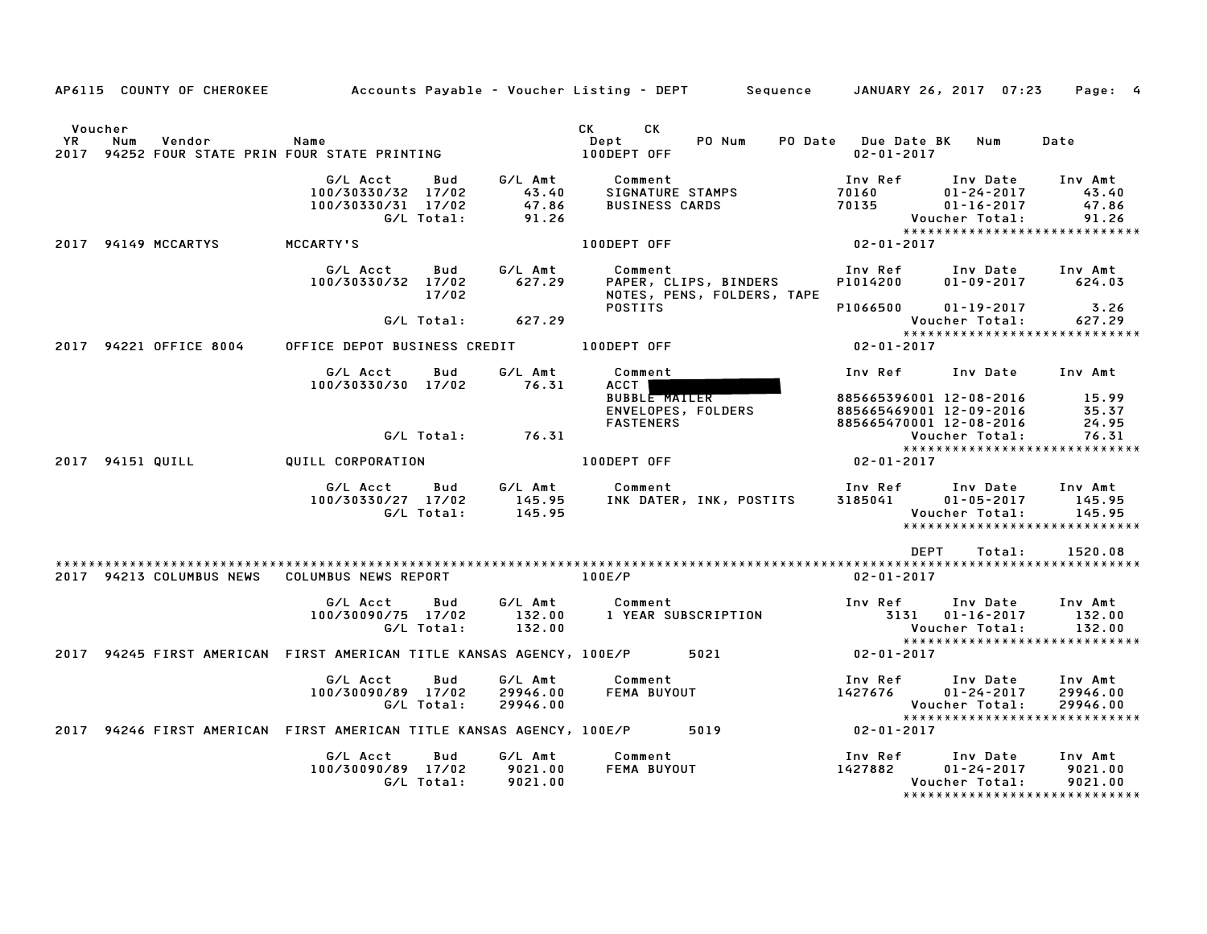|                      |                  | AP6115 COUNTY OF CHEROKEE | Accounts Payable – Voucher Listing – DEPT                                 |                   |                                    |                                                      | Sequence                                            |                                         | JANUARY 26, 2017 07:23                                                                              | Page: 4                            |
|----------------------|------------------|---------------------------|---------------------------------------------------------------------------|-------------------|------------------------------------|------------------------------------------------------|-----------------------------------------------------|-----------------------------------------|-----------------------------------------------------------------------------------------------------|------------------------------------|
| Voucher<br><b>YR</b> | Num              | Vendor                    | Name<br>2017 94252 FOUR STATE PRIN FOUR STATE PRINTING                    |                   |                                    | CK<br>CK<br>Dept<br>100DEPT OFF                      | PO Num                                              | PO Date Due Date BK<br>$02 - 01 - 2017$ | Num                                                                                                 | Date                               |
|                      |                  |                           | G/L Acct<br>100/30330/32 17/02<br>100/30330/31 17/02                      | Bud<br>G/L Total: | G/L Amt<br>43.40<br>47.86<br>91.26 | Comment<br>SIGNATURE STAMPS<br><b>BUSINESS CARDS</b> |                                                     | Inv Ref<br>70160<br>70135               | Inv Date<br>$01 - 24 - 2017$<br>$01 - 16 - 2017$<br>Voucher Total:<br>***************************** | Inv Amt<br>43.40<br>47.86<br>91.26 |
|                      |                  | 2017 94149 MCCARTYS       | MCCARTY'S                                                                 |                   |                                    | 100DEPT OFF                                          |                                                     | $02 - 01 - 2017$                        |                                                                                                     |                                    |
|                      |                  |                           | G/L Acct<br>100/30330/32 17/02                                            | Bud<br>17/02      | G/L Amt<br>627.29                  | Comment                                              | PAPER, CLIPS, BINDERS<br>NOTES, PENS, FOLDERS, TAPE | Inv Ref<br>P1014200                     | Inv Date<br>$01 - 09 - 2017$                                                                        | Inv Amt<br>624.03                  |
|                      |                  |                           |                                                                           | G/L Total:        | 627.29                             | <b>POSTITS</b>                                       |                                                     | P1066500                                | $01 - 19 - 2017$<br>Voucher Total:                                                                  | 3.26<br>627.29                     |
|                      |                  | 2017 94221 OFFICE 8004    | OFFICE DEPOT BUSINESS CREDIT                                              |                   |                                    | 100DEPT OFF                                          |                                                     | $02 - 01 - 2017$                        | ******************************                                                                      |                                    |
|                      |                  |                           | G/L Acct                                                                  | Bud               | G/L Amt                            | Comment                                              |                                                     | Inv Ref                                 | Inv Date                                                                                            | Inv Amt                            |
|                      |                  |                           | 100/30330/30 17/02                                                        |                   | 76.31                              | ACCT<br><b>BUBBLE MAILER</b><br><b>FASTENERS</b>     | ENVELOPES, FOLDERS                                  |                                         | 885665396001 12-08-2016<br>885665469001 12-09-2016<br>885665470001 12-08-2016                       | 15.99<br>35.37<br>24.95            |
|                      |                  |                           |                                                                           | G/L Total:        | 76.31                              |                                                      |                                                     |                                         | Voucher Total:<br>******************************                                                    | 76.31                              |
|                      | 2017 94151 QUILL |                           | QUILL CORPORATION                                                         |                   |                                    | 100DEPT OFF                                          |                                                     | $02 - 01 - 2017$                        |                                                                                                     |                                    |
|                      |                  |                           | G/L Acct<br>100/30330/27 17/02                                            | Bud<br>G/L Total: | G/L Amt<br>145.95<br>145.95        | Comment                                              | INK DATER, INK, POSTITS                             | Inv Ref<br>3185041                      | Inv Date<br>$01 - 05 - 2017$<br>Voucher Total:<br>******************************                    | Inv Amt<br>145.95<br>145.95        |
|                      |                  |                           |                                                                           |                   |                                    |                                                      |                                                     |                                         | DEPT<br>Total:                                                                                      | 1520.08                            |
|                      |                  |                           | 2017 94213 COLUMBUS NEWS COLUMBUS NEWS REPORT                             |                   |                                    | 100E/P                                               |                                                     | $02 - 01 - 2017$                        |                                                                                                     |                                    |
|                      |                  |                           | G/L Acct<br>100/30090/75 17/02                                            | Bud<br>G/L Total: | G/L Amt<br>132.00<br>132.00        | Comment<br>1 YEAR SUBSCRIPTION                       |                                                     | Inv Ref                                 | Inv Date<br>3131 01-16-2017<br>Voucher Total:<br>******************************                     | Inv Amt<br>132.00<br>132.00        |
|                      |                  |                           | 2017 94245 FIRST AMERICAN FIRST AMERICAN TITLE KANSAS AGENCY, 100E/P 5021 |                   |                                    |                                                      |                                                     | 02-01-2017                              |                                                                                                     |                                    |
|                      |                  |                           | G/L Acct<br>100/30090/89 17/02                                            | Bud<br>G/L Total: | G/L Amt<br>29946.00<br>29946.00    | Comment<br>FEMA BUYOUT                               |                                                     | Inv Ref<br>1427676                      | Inv Date<br>$01 - 24 - 2017$<br>Voucher Total:<br>******************************                    | Inv Amt<br>29946.00<br>29946.00    |
|                      |                  |                           | 2017 94246 FIRST AMERICAN FIRST AMERICAN TITLE KANSAS AGENCY, 100E/P 5019 |                   |                                    |                                                      |                                                     | $02 - 01 - 2017$                        |                                                                                                     |                                    |
|                      |                  |                           | G/L Acct<br>100/30090/89 17/02                                            | Bud<br>G/L Total: | G/L Amt<br>9021.00<br>9021.00      | Comment<br>FEMA BUYOUT                               |                                                     | Inv Ref<br>1427882                      | Inv Date<br>01-24-2017<br>Voucher Total:<br>*****************************                           | Inv Amt<br>9021.00<br>9021.00      |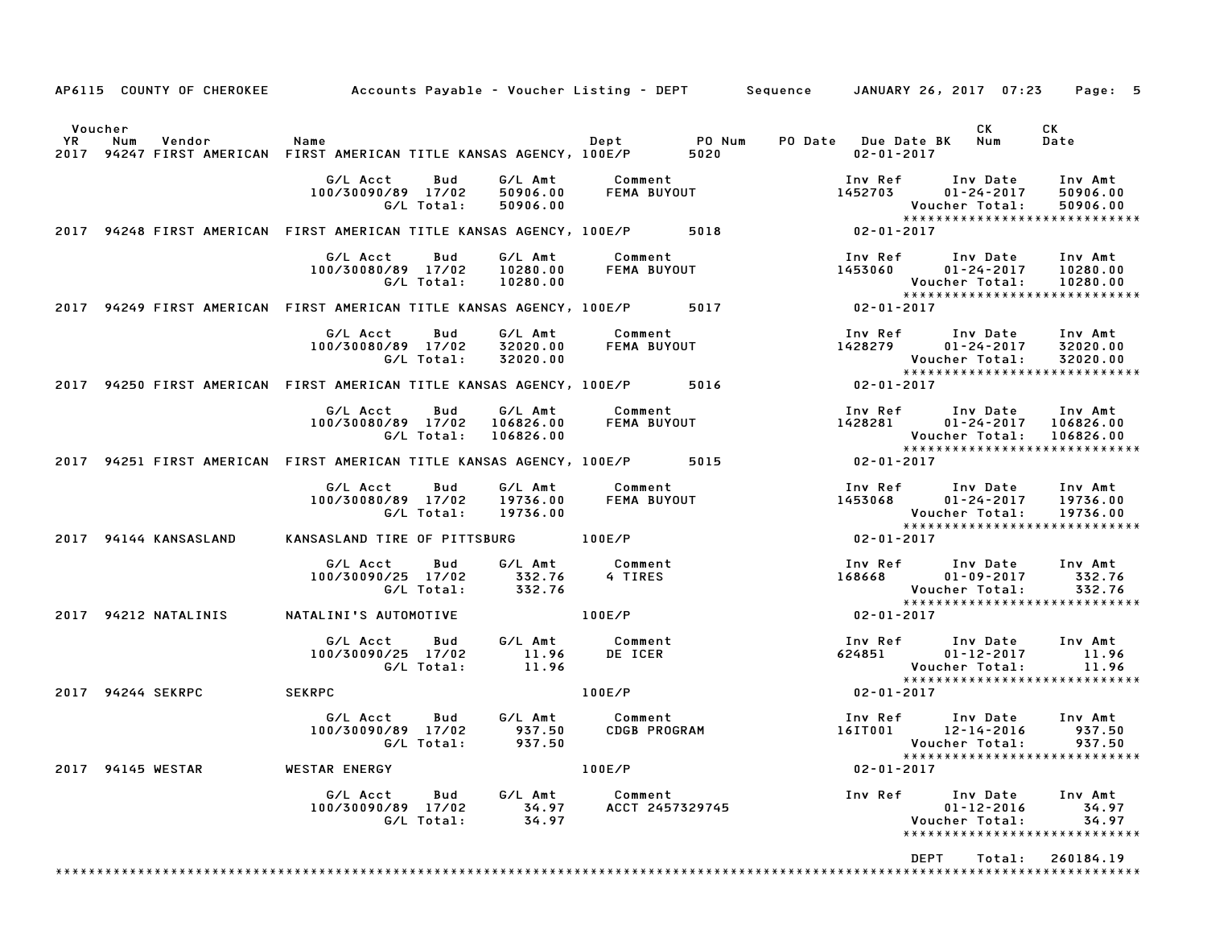| AP6115 COUNTY OF CHEROKEE Accounts Payable - Voucher Listing - DEPT Sequence JANUARY 26, 2017 07:23         |                                                                   |                                   |                                        |                    |                                                                                            | Page: 5                                                                |
|-------------------------------------------------------------------------------------------------------------|-------------------------------------------------------------------|-----------------------------------|----------------------------------------|--------------------|--------------------------------------------------------------------------------------------|------------------------------------------------------------------------|
| Voucher<br>YR<br>Num<br>Vendor<br>2017 94247 FIRST AMERICAN FIRST AMERICAN TITLE KANSAS AGENCY, 100E/P 5020 | Name                                                              |                                   | Dept PO Num                            |                    | CK.<br>PO Date Due Date BK Num<br>02-01-2017                                               | CK<br>Date                                                             |
|                                                                                                             | G/L Acct<br>Bud<br>100/30090/89 17/02<br>G/L Total:               | G/L Amt<br>50906.00<br>50906.00   | Comment                                | FEMA BUYOUT        | Inv Ref      Inv Date<br>1452703 01-24-2017 50906.00<br>Voucher Total:                     | Inv Amt<br>50906.00<br>*****************************                   |
| 2017 94248 FIRST AMERICAN FIRST AMERICAN TITLE KANSAS AGENCY, 100E/P 5018 62-01-2017                        |                                                                   |                                   |                                        |                    |                                                                                            |                                                                        |
|                                                                                                             | G/L Acct<br>Bud<br>100/30080/89 17/02<br>G/L Total:               | G/L Amt<br>10280.00<br>10280.00   | Comment<br>FEMA BUYOUT                 |                    | Inv Ref Inv Date Inv Amt<br>1453060<br>Voucher Total:                                      | $01 - 24 - 2017$ 10280.00<br>10280.00<br>***************************** |
| 2017 94249 FIRST AMERICAN FIRST AMERICAN TITLE KANSAS AGENCY, 100E/P 5017                                   |                                                                   |                                   |                                        |                    | $02 - 01 - 2017$                                                                           |                                                                        |
|                                                                                                             | G/L Acct<br>Bud<br>100/30080/89 17/02<br>G/L Total:               | G/L Amt<br>32020.00<br>32020.00   | Comment                                | <b>FEMA BUYOUT</b> | Inv Ref      Inv Date     Inv Amt<br>1428279<br>Voucher Total:                             | 01-24-2017 32020.00<br>32020.00<br>*****************************       |
| 2017 94250 FIRST AMERICAN FIRST AMERICAN TITLE KANSAS AGENCY, 100E/P 5016 5016 02-01-2017                   |                                                                   |                                   |                                        |                    |                                                                                            |                                                                        |
|                                                                                                             | G/L Acct<br>Bud<br>100/30080/89 17/02<br>G/L Total:               | G/L Amt<br>106826.00<br>106826.00 | Comment<br>FEMA BUYOUT                 |                    | Inv Ref      Inv Date    Inv Amt<br>1428281       01–24–2017   106826.00<br>Voucher Total: | 106826.00<br>*****************************                             |
| 2017 94251 FIRST AMERICAN FIRST AMERICAN TITLE KANSAS AGENCY, 100E/P 5015                                   |                                                                   |                                   |                                        |                    | $02 - 01 - 2017$                                                                           |                                                                        |
|                                                                                                             | G/L Acct<br>Bud<br>100/30080/89 17/02<br>G/L Total:               | G/L Amt<br>19736.00<br>19736.00   | Comment<br>FEMA BUYOUT                 |                    | Inv Ref Inv Date Inv Amt<br>1453068 01-24-2017<br>Voucher Total:                           | 19736.00<br>19736.00<br>*****************************                  |
| 2017 94144 KANSASLAND                                                                                       | KANSASLAND TIRE OF PITTSBURG 100E/P                               |                                   |                                        |                    | $02 - 01 - 2017$                                                                           |                                                                        |
|                                                                                                             | G/L Acct<br>Bud<br>100/30090/25 17/02<br>G/L Total:               | G/L Amt<br>332.76<br>332.76       | Comment<br>4 TIRES                     |                    | Inv Ref      Inv Date     Inv Amt<br>168668 01-09-2017<br>Voucher Total:                   | 332.76<br>332.76<br>*****************************                      |
| 2017 94212 NATALINIS                                                                                        | NATALINI'S AUTOMOTIVE                                             |                                   | 100E/P                                 |                    | 02-01-2017                                                                                 |                                                                        |
|                                                                                                             | G/L Acct<br>Bud<br>100/30090/25 17/02<br>G/L Total:               | G/L Amt<br>11.96<br>11.96         | Comment<br>DE ICER                     |                    | Inv Ref Inv Date<br>624851<br>01-12-2017<br>Voucher Total:                                 | Inv Amt<br>11.96<br>11.96<br>*****************************             |
| 2017 94244 SEKRPC                                                                                           | <b>SEKRPC</b>                                                     |                                   | 100E/P                                 |                    | $02 - 01 - 2017$                                                                           |                                                                        |
|                                                                                                             | G/L Acct<br><b>Bud</b><br>100/30090/89 17/02<br>G/L Total: 937.50 | 937.50                            | G/L Amt Comment<br><b>CDGB PROGRAM</b> |                    | Inv Ref Inv Date<br>16IT001 12-14-2016                                                     | Inv Amt<br>937.50<br>*****************************                     |
| 2017 94145 WESTAR                                                                                           | <b>WESTAR ENERGY</b>                                              |                                   | 100E/P                                 |                    | $02 - 01 - 2017$                                                                           |                                                                        |
|                                                                                                             | G/L Acct Bud<br>100/30090/89 17/02<br>G/L Total:                  | G/L Amt<br>34.97<br>34.97         | Comment<br>ACCT 2457329745             |                    | Inv Ref<br>Inv Date<br>$01 - 12 - 2016$<br>Voucher Total:                                  | Inv Amt<br>34.97<br>34.97<br>*****************************             |
|                                                                                                             |                                                                   |                                   |                                        |                    | DEPT                                                                                       | Total: 260184.19                                                       |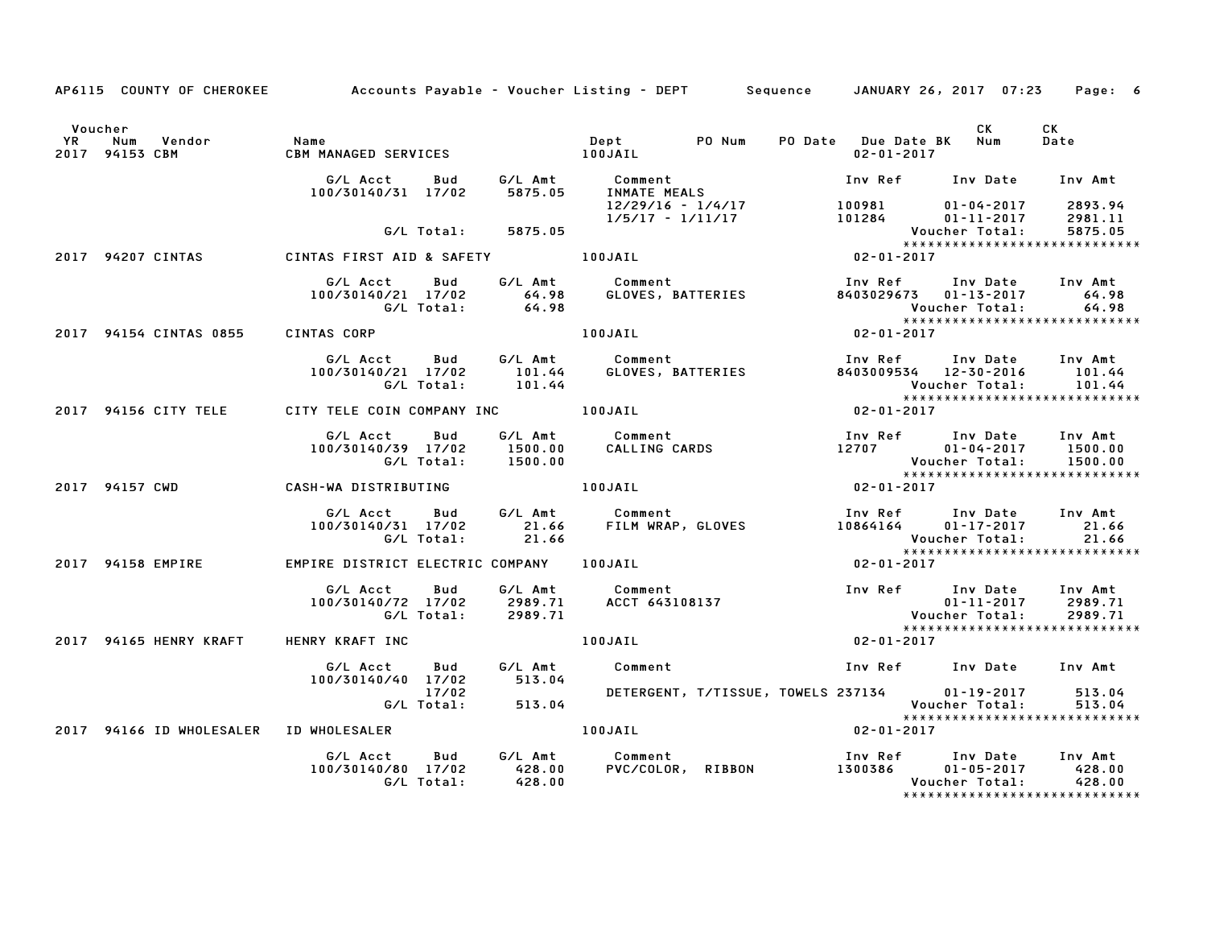|                      | AP6115 COUNTY OF CHEROKEE                               |                                   |            |         | Accounts Payable – Voucher Listing – DEPT       Sequence     JANUARY 26, 2017  07:23                                                                                                                                           |                             |                                                                     | Page: 6          |
|----------------------|---------------------------------------------------------|-----------------------------------|------------|---------|--------------------------------------------------------------------------------------------------------------------------------------------------------------------------------------------------------------------------------|-----------------------------|---------------------------------------------------------------------|------------------|
| Voucher<br><b>YR</b> | Vendor<br>Num<br>2017 94153 CBM                         | Name<br>CBM MA                    |            |         |                                                                                                                                                                                                                                | $02 - 01 - 2017$            | CK<br>PO Date Due Date BK Num                                       | CK<br>Date       |
|                      |                                                         |                                   |            |         | G/L Acct         Bud              G/L Amt               Comment<br>100/30140/31    17/02           5875.05        INMATE  MEALS                                                                                                |                             | Inv Ref Inv Date Inv Amt                                            |                  |
|                      |                                                         |                                   | G/L Total: | 5875.05 |                                                                                                                                                                                                                                |                             |                                                                     |                  |
|                      |                                                         |                                   |            |         |                                                                                                                                                                                                                                | Vouc<br>*****<br>02-01-2017 |                                                                     |                  |
|                      | 2017 94207 CINTAS                                       | CINTAS FIRST AID & SAFETY 100JAIL |            |         |                                                                                                                                                                                                                                |                             |                                                                     |                  |
|                      |                                                         |                                   |            |         |                                                                                                                                                                                                                                |                             |                                                                     |                  |
|                      | 2017 94154 CINTAS 0855                                  | CINTAS CORP                       |            |         | 100JAIL                                                                                                                                                                                                                        |                             | Voucher Total: 64.98<br>*****************************<br>02-01-2017 |                  |
|                      |                                                         |                                   |            |         | 6/L Acct bud 6/L Amt Comment Inv Ref Inv Date Inv Amt<br>100/30140/21 17/02 101.44 GLOVES, BATTERIES 8403009534 12-30-2016 101.44<br>6/L Total: 101.44 Voucher Total: 101.44<br>TY TELE COIN COMPANY INC 100JAIL 02-01-2017    |                             |                                                                     |                  |
|                      | 2017 94156 CITY TELE CITY TELE COIN COMPANY INC TOOJAIL |                                   |            |         |                                                                                                                                                                                                                                |                             |                                                                     |                  |
|                      |                                                         |                                   |            |         |                                                                                                                                                                                                                                |                             |                                                                     |                  |
|                      | 2017 94157 CWD                                          | CASH-WA DISTRIBUTING 100JAIL      |            |         |                                                                                                                                                                                                                                | $02 - 01 - 2017$            |                                                                     |                  |
|                      |                                                         |                                   |            |         | G/L Acct Bud G/L Amt Comment Inv Ref Inv Date Inv Amt<br>100/30140/31 17/02 21.66 FILM WRAP, GLOVES 10864164 01–17–2017 21.66<br>G/L Total: 21.66 21.66 Voucher Total: 21.66                                                   |                             | Voucher Total:                                                      |                  |
|                      | 2017 94158 EMPIRE                                       |                                   |            |         | EMPIRE DISTRICT ELECTRIC COMPANY 100JAIL                                                                                                                                                                                       | $02 - 01 - 2017$            | *****************************                                       |                  |
|                      |                                                         |                                   |            |         | 2989.71  100/30140/72 17/02  2989.71  100/30140/72 17/02 2989.71  100/30140/72 17/02 2989.71  100/30140/72 17/02 2989.71  100/30140/72 17/02 2989.71  100/30140/72 17/02 2989.71  100/30140/72 17/02 2989.71  100/30140/72 17/ |                             |                                                                     |                  |
|                      | 2017 94165 HENRY KRAFT                                  | <b>HENRY KRAFT INC</b>            |            |         | 100JAIL                                                                                                                                                                                                                        | $02 - 01 - 2017$            |                                                                     |                  |
|                      |                                                         | G/L Acct Bud                      |            |         | G/L Amt Comment                                                                                                                                                                                                                |                             | Inv Ref Inv Date Inv Amt                                            |                  |
|                      |                                                         | 100/30140/40 17/02 513.04         | 17/02      |         | DETERGENT, T/TISSUE, TOWELS 237134 01-19-2017                                                                                                                                                                                  |                             | Voucher Total:                                                      | 513.04<br>513.04 |
|                      | 2017  94166 ID WHOLESALER  ID WHOLESALER                |                                   |            |         | 100JAIL                                                                                                                                                                                                                        | $02 - 01 - 2017$            | ******************************                                      |                  |
|                      |                                                         | 100/30140/80 17/02 428.00         | G/L Total: | 428.00  |                                                                                                                                                                                                                                |                             | Voucher Total:<br>*****************************                     | 428.00           |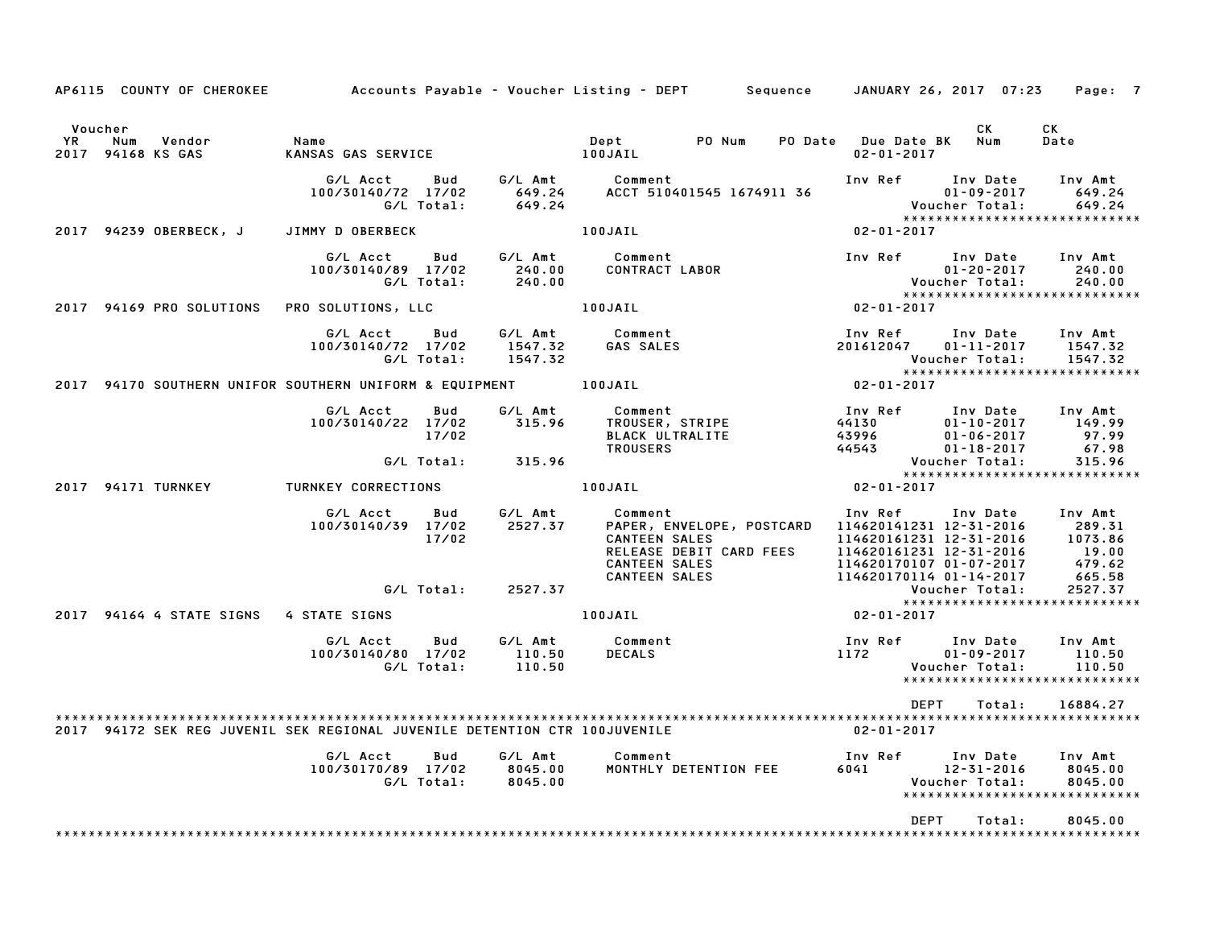| AP6115 COUNTY OF CHEROKEE                                                  |                                                     |                               | Accounts Payable – Voucher Listing – DEPT<br>Sequence                                                                                   |                                                                                                                                                | JANUARY 26, 2017 07:23                                               | Page: 7                                                        |
|----------------------------------------------------------------------------|-----------------------------------------------------|-------------------------------|-----------------------------------------------------------------------------------------------------------------------------------------|------------------------------------------------------------------------------------------------------------------------------------------------|----------------------------------------------------------------------|----------------------------------------------------------------|
| Voucher<br>YR<br>Num<br>Vendor<br>2017<br>94168 KS GAS                     | Name<br>KANSAS GAS SERVICE                          |                               | PO Num<br>Dept<br>PO Date<br>100JAIL                                                                                                    | <b>Due Date BK</b><br>$02 - 01 - 2017$                                                                                                         | CK<br>Num                                                            | СK<br>Date                                                     |
|                                                                            | G/L Acct<br>Bud<br>100/30140/72 17/02<br>G/L Total: | G/L Amt<br>649.24<br>649.24   | Comment<br>ACCT 510401545 1674911 36                                                                                                    | Inv Ref                                                                                                                                        | Inv Date<br>$01 - 09 - 2017$<br>Voucher Total:                       | Inv Amt<br>649.24<br>649.24<br>*****************************   |
| 94239 OBERBECK, J<br>2017                                                  | JIMMY D OBERBECK                                    |                               | 100JAIL                                                                                                                                 | $02 - 01 - 2017$                                                                                                                               |                                                                      |                                                                |
|                                                                            | G/L Acct<br>Bud<br>100/30140/89 17/02<br>G/L Total: | G/L Amt<br>240.00<br>240.00   | Comment<br>CONTRACT LABOR                                                                                                               | Inv Ref                                                                                                                                        | Inv Date<br>$01 - 20 - 2017$<br>Voucher Total:                       | Inv Amt<br>240.00<br>240.00<br>*****************************   |
| 2017 94169 PRO SOLUTIONS                                                   | PRO SOLUTIONS, LLC                                  |                               | 100JAIL                                                                                                                                 | 02-01-2017                                                                                                                                     |                                                                      |                                                                |
|                                                                            | G/L Acct<br>Bud<br>100/30140/72 17/02<br>G/L Total: | G/L Amt<br>1547.32<br>1547.32 | Comment<br>GAS SALES                                                                                                                    | Inv Ref<br>201612047                                                                                                                           | Inv Date<br>$01 - 11 - 2017$<br>Voucher Total:                       | Inv Amt<br>1547.32<br>1547.32                                  |
| 2017 94170 SOUTHERN UNIFOR SOUTHERN UNIFORM & EQUIPMENT                    |                                                     |                               | 100JAIL                                                                                                                                 | $02 - 01 - 2017$                                                                                                                               |                                                                      | *****************************                                  |
|                                                                            | G/L Acct<br>Bud<br>100/30140/22 17/02<br>17/02      | G/L Amt<br>315.96             | Comment<br>TROUSER, STRIPE<br><b>BLACK ULTRALITE</b><br><b>TROUSERS</b>                                                                 | Inv Ref<br>44130<br>43996<br>44543                                                                                                             | Inv Date<br>$01 - 10 - 2017$<br>$01 - 06 - 2017$<br>$01 - 18 - 2017$ | Inv Amt<br>149.99<br>97.99<br>67.98                            |
|                                                                            | G/L Total:                                          | 315.96                        |                                                                                                                                         |                                                                                                                                                | Voucher Total:                                                       | 315.96<br>*****************************                        |
| 2017 94171 TURNKEY                                                         | TURNKEY CORRECTIONS                                 |                               | 100JAIL                                                                                                                                 | $02 - 01 - 2017$                                                                                                                               |                                                                      |                                                                |
|                                                                            | G/L Acct<br>Bud<br>100/30140/39 17/02<br>17/02      | G/L Amt<br>2527.37            | Comment<br>PAPER, ENVELOPE, POSTCARD<br><b>CANTEEN SALES</b><br>RELEASE DEBIT CARD FEES<br><b>CANTEEN SALES</b><br><b>CANTEEN SALES</b> | Inv Ref<br>114620141231 12-31-2016<br>114620161231 12-31-2016<br>114620161231 12-31-2016<br>114620170107 01-07-2017<br>114620170114 01-14-2017 | Inv Date                                                             | Inv Amt<br>289.31<br>1073.86<br>19.00<br>479.62<br>665.58      |
|                                                                            | G/L Total:                                          | 2527.37                       |                                                                                                                                         |                                                                                                                                                | Voucher Total:                                                       | 2527.37                                                        |
| 2017 94164 4 STATE SIGNS                                                   | 4 STATE SIGNS                                       |                               | 100JAIL                                                                                                                                 | $02 - 01 - 2017$                                                                                                                               |                                                                      | *****************************                                  |
|                                                                            | G/L Acct<br>Bud<br>100/30140/80 17/02<br>G/L Total: | G/L Amt<br>110.50<br>110.50   | Comment<br><b>DECALS</b>                                                                                                                | Inv Ref<br>1172                                                                                                                                | Inv Date<br>$01 - 09 - 2017$<br>Voucher Total:                       | Inv Amt<br>110.50<br>110.50<br>*****************************   |
|                                                                            |                                                     |                               |                                                                                                                                         | <b>DEPT</b>                                                                                                                                    | Total:                                                               | 16884.27                                                       |
| 2017 94172 SEK REG JUVENIL SEK REGIONAL JUVENILE DETENTION CTR 100JUVENILE |                                                     |                               |                                                                                                                                         | $02 - 01 - 2017$                                                                                                                               |                                                                      |                                                                |
|                                                                            | G/L Acct<br>Bud<br>100/30170/89 17/02<br>G/L Total: | G/L Amt<br>8045.00<br>8045.00 | Comment<br>MONTHLY DETENTION FEE                                                                                                        | Inv Ref<br>6041                                                                                                                                | Inv Date<br>12-31-2016<br>Voucher Total:                             | Inv Amt<br>8045.00<br>8045.00<br>***************************** |
|                                                                            |                                                     |                               |                                                                                                                                         | <b>DEPT</b>                                                                                                                                    | Total:                                                               | 8045.00                                                        |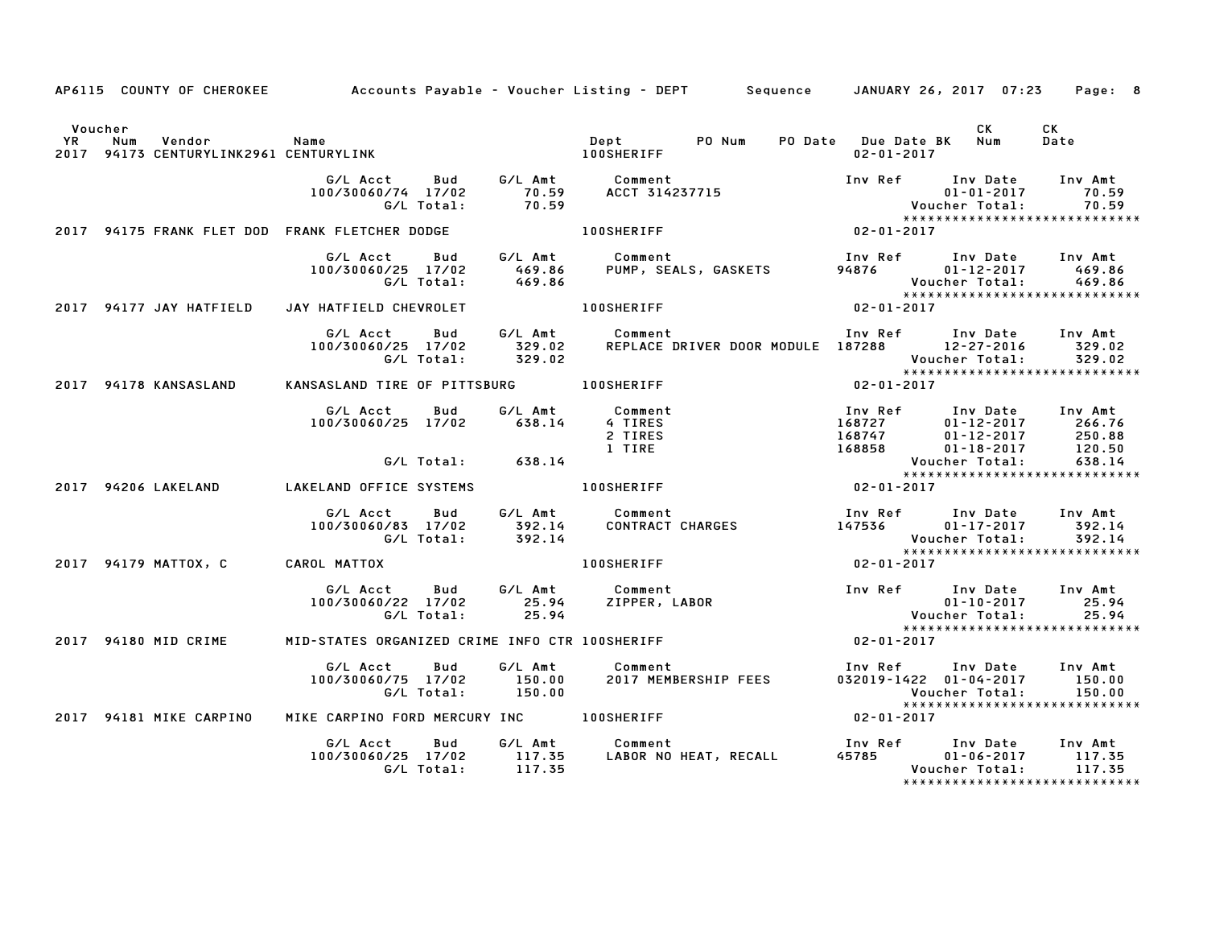|         |                         |  | AP6115 COUNTY OF CHEROKEE Accounts Payable - Voucher Listing - DEPT Sequence JANUARY 26, 2017 07:23 Page: 8                                                                                                                               |                                                       |                 |                               |
|---------|-------------------------|--|-------------------------------------------------------------------------------------------------------------------------------------------------------------------------------------------------------------------------------------------|-------------------------------------------------------|-----------------|-------------------------------|
| Voucher |                         |  |                                                                                                                                                                                                                                           |                                                       | CK <sub>2</sub> | <b>CK</b><br>Date             |
|         |                         |  | G/L Acct Bud G/L Amt Comment Inv Ref Inv Date Inv Amt<br>100/30060/74 17/02 70.59 ACCT 314237715 01-01-2017 70.59<br>G/L Total: 70.59 B/L Total: 70.59 Voucher Total: 70.59<br>2017 94175 FRANK FLET DOD FRANK FLETCHER DODGE 100SHERIF   |                                                       |                 |                               |
|         |                         |  |                                                                                                                                                                                                                                           |                                                       |                 |                               |
|         |                         |  | G/L Acct Bud G/L Amt Comment Inv Ref Inv Date Inv Amt<br>100/30060/25 17/02 469.86 PUMP, SEALS, GASKETS 94876 01-12-2017 469.86<br>G/L Total: 469.86 PUMP, SEALS, GASKETS 94876 Voucher Total: 469.86<br>2017 94177 JAY HATFIELD JAY HA   |                                                       |                 |                               |
|         |                         |  |                                                                                                                                                                                                                                           |                                                       |                 |                               |
|         |                         |  |                                                                                                                                                                                                                                           |                                                       |                 |                               |
|         |                         |  | 2017 94178 KANSASLAND KANSASLAND TIRE OF PITTSBURG 100SHERIFF 7 2017 2017                                                                                                                                                                 |                                                       |                 |                               |
|         |                         |  | G/L Acct Bud G/L Amt Comment Inv Ref Inv Date Inv Amt<br>100/30060/25 17/02 638.14 4 TIRES 168727 01-12-2017 266.76<br>2 TIRES 168747 01-12-2017 250.88<br>1 TIRE 168858 01-18-2017 120.50<br>G/L Total: 638.14 Voucher Total: 638.14<br> |                                                       |                 |                               |
|         |                         |  |                                                                                                                                                                                                                                           |                                                       |                 |                               |
|         | 2017 94206 LAKELAND     |  |                                                                                                                                                                                                                                           |                                                       |                 |                               |
|         |                         |  | G/L Acct Bud G/L Amt Comment 100/30060/83 17/02 392.14 CONTRACT CHARGES 147536 01–17–2017 392.14<br>100/30060/83 17/02 392.14 CONTRACT CHARGES 147536 01–17–2017 392.14<br>147536 Voucher Total: 392.14                                   | Voucher Total: 392.14<br>**************************** |                 |                               |
|         |                         |  | 2017 94179 MATTOX, C CAROL MATTOX $\overline{100}$ SHERIFF $\overline{94179}$ $02 - 01 - 2017$                                                                                                                                            |                                                       |                 |                               |
|         |                         |  | G/L Acct Bud G/L Amt Comment Inv Ref Inv Date Inv Amt<br>100/30060/22 17/02 25.94 ZIPPER, LABOR 01-10-2017 25.94<br>G/L Total: 25.94 25.94 Woucher Total: 25.94 25.94                                                                     |                                                       |                 |                               |
|         |                         |  | 2017 94180 MID CRIME MID-STATES ORGANIZED CRIME INFO CTR 100SHERIFF 7 7 24180 MID CRIME                                                                                                                                                   |                                                       |                 |                               |
|         |                         |  | 6/L Acct     Bud     G/L Amt        Comment                        Inv Ref     Inv Date    Inv Amt<br>100/30060/75   17/02       150.00      2017 MEMBERSHIP FEES          032019-1422   01-04-2017       150.00<br>6/L Total:            |                                                       |                 |                               |
|         | 2017 94181 MIKE CARPINO |  |                                                                                                                                                                                                                                           |                                                       |                 |                               |
|         |                         |  | G/L Acct Bud G/L Amt Comment Inv Ref Inv Date Inv Amt<br>100/30060/25 17/02 117.35 LABOR NO HEAT, RECALL 45785 01–06–2017 117.35<br>G/L Total: 117.35 LABOR NO HEAT, RECALL 45785 Voucher Total: 117.35                                   |                                                       |                 | ***************************** |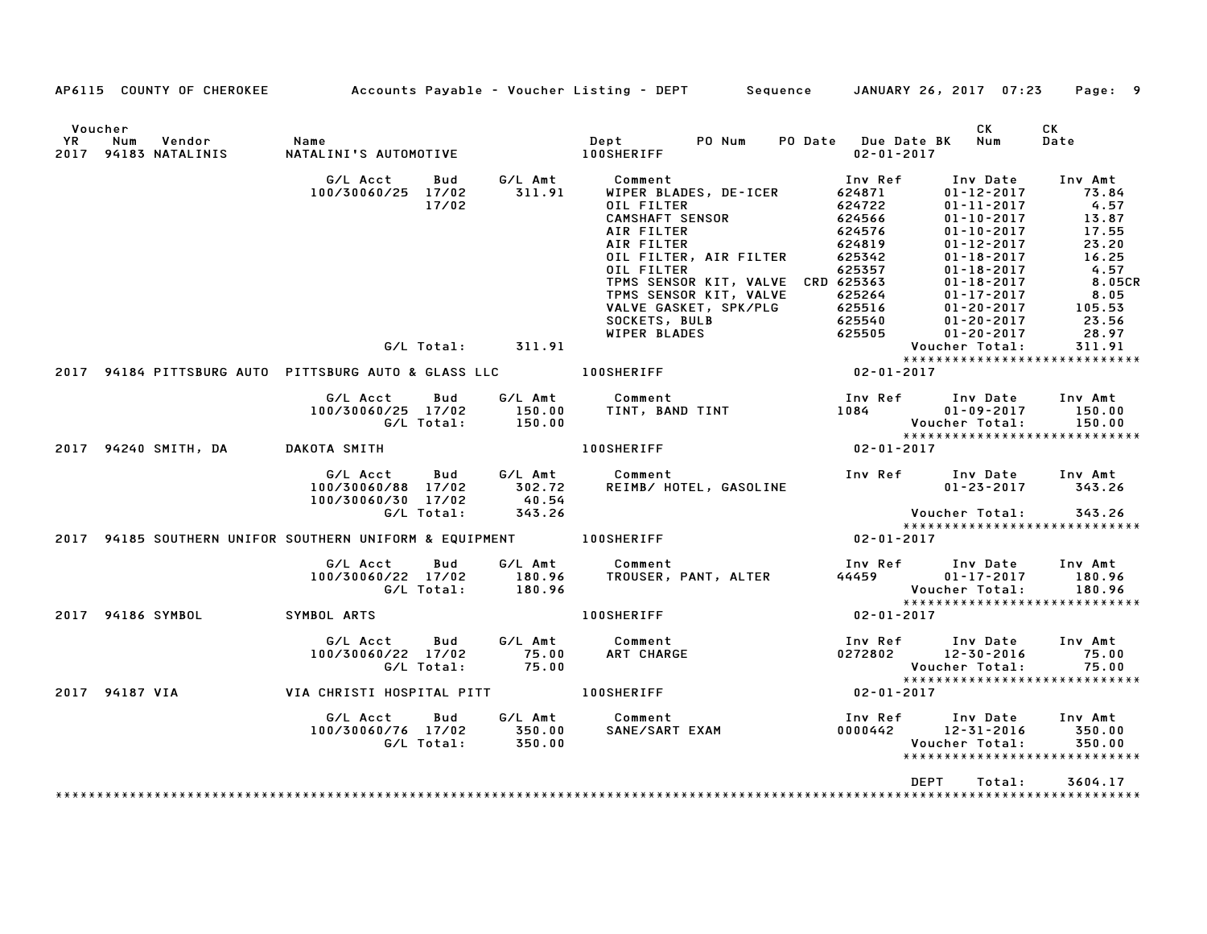|         | AP6115 COUNTY OF CHEROKEE Accounts Payable - Voucher Listing - DEPT Sequence JANUARY 26, 2017 07:23 Page: 9                                                                                                                                                                                                                                                                                                                    |                       |                                                                                                                  |            |
|---------|--------------------------------------------------------------------------------------------------------------------------------------------------------------------------------------------------------------------------------------------------------------------------------------------------------------------------------------------------------------------------------------------------------------------------------|-----------------------|------------------------------------------------------------------------------------------------------------------|------------|
| Voucher |                                                                                                                                                                                                                                                                                                                                                                                                                                |                       | CK L                                                                                                             | CK<br>Date |
|         | $2017\quad94184\t   \t\tPITTSBURG \text{ AUT} \begin{minipage}{0.8331.01\textwidth} \begin{minipage}{0.8331.025\textwidth} \begin{minipage}{0.8331.03\textwidth} \begin{minipage}{0.8331.04\textwidth} \begin{minipage}{0.8331.04\textwidth} \begin{minipage}{0.8331.04\textwidth} \begin{minipage}{0.8331.04\textwidth} \begin{minipage}{0.8331.04\textwidth} \begin{minipage}{0.8331.04\textwidth} \begin{minipage}{0.8331.$ |                       |                                                                                                                  |            |
|         |                                                                                                                                                                                                                                                                                                                                                                                                                                |                       |                                                                                                                  |            |
|         |                                                                                                                                                                                                                                                                                                                                                                                                                                |                       |                                                                                                                  |            |
|         |                                                                                                                                                                                                                                                                                                                                                                                                                                |                       |                                                                                                                  |            |
|         | G/LAcct Bud G/LAmt Comment Inv Ref Inv Date Inv Amt<br>100/30060/25 17/02 150.00 TINT, BAND TINT 1084 01-09-2017 150.00<br>G/LTotal: 150.00 100SHERIFF 102-01-2017 150.00<br>KOTA SMITH 100SHERIFF 100SHERIFF 102-01-2017                                                                                                                                                                                                      |                       |                                                                                                                  |            |
|         |                                                                                                                                                                                                                                                                                                                                                                                                                                |                       |                                                                                                                  |            |
|         | G/L Acct Bud G/L Amt Comment<br>100/30060/88 17/02 302.72<br>100/30060/30 17/02 40.54<br>6/L Total: 343.26                                                                                                                                                                                                                                                                                                                     |                       | Voucher Total: 343.26                                                                                            |            |
|         |                                                                                                                                                                                                                                                                                                                                                                                                                                |                       |                                                                                                                  |            |
|         |                                                                                                                                                                                                                                                                                                                                                                                                                                |                       |                                                                                                                  |            |
|         |                                                                                                                                                                                                                                                                                                                                                                                                                                |                       |                                                                                                                  |            |
|         | 2017 94186 SYMBOL SYMBOL ARTS                                                                                                                                                                                                                                                                                                                                                                                                  | 100SHERIFF 02-01-2017 |                                                                                                                  |            |
|         | G/L Acct  Bud  G/L Amt  Comment<br>100/30060/22 17/02  75.00  ART CHARGE<br>G/L Total:  75.00                                                                                                                                                                                                                                                                                                                                  |                       | Inv Ref Inv Date Inv Amt<br>$0272802$ $12-30-2016$ 75.00<br>Voucher Total: 75.00<br>**************************** |            |
|         | ++++<br>+++++<br>02-01-2017  00SHERIFF   100SHERIFF   02-01-2017   1012-01-2017   02-01-2017                                                                                                                                                                                                                                                                                                                                   |                       |                                                                                                                  |            |
|         |                                                                                                                                                                                                                                                                                                                                                                                                                                |                       | Voucher Total:<br>*****************************                                                                  |            |
|         |                                                                                                                                                                                                                                                                                                                                                                                                                                |                       | DEPT<br>Total:                                                                                                   | 3604.17    |
|         |                                                                                                                                                                                                                                                                                                                                                                                                                                |                       |                                                                                                                  |            |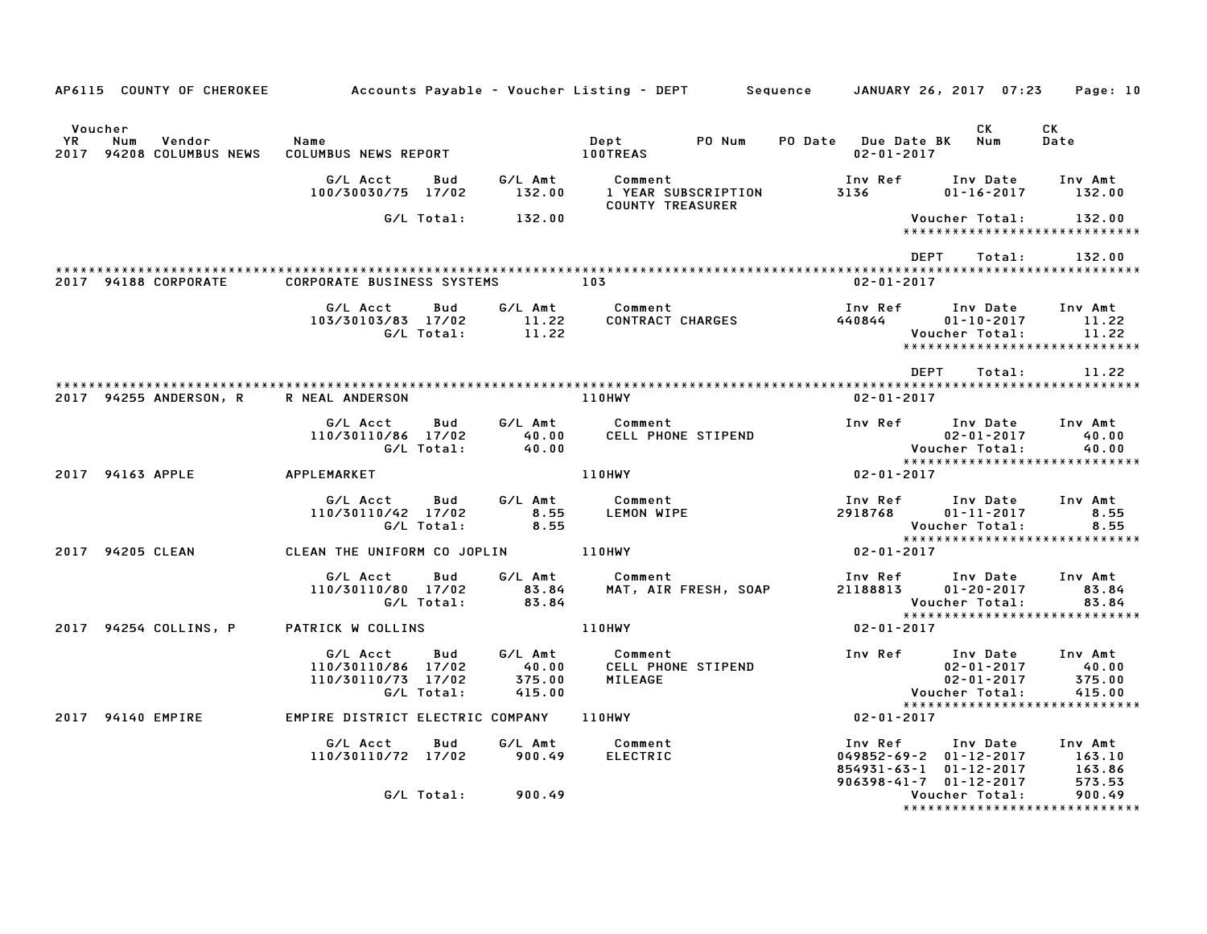| AP6115 COUNTY OF CHEROKEE                                         | Accounts Payable – Voucher Listing – DEPT         Sequence     JANUARY 26, 2017  07:23 |                                      |                                          |                                                                                                               | Page: 10                                                                                                      |
|-------------------------------------------------------------------|----------------------------------------------------------------------------------------|--------------------------------------|------------------------------------------|---------------------------------------------------------------------------------------------------------------|---------------------------------------------------------------------------------------------------------------|
| Voucher<br><b>YR</b><br>Num<br>Vendor<br>2017 94208 COLUMBUS NEWS | Name<br>COLUMBUS NEWS REPORT                                                           |                                      | PO Num<br>Dept<br><b>100TREAS</b>        | PO Date Due Date BK<br>$02 - 01 - 2017$                                                                       | CK<br>CK<br>Num<br>Date                                                                                       |
|                                                                   | G/L Acct<br>Bud<br>100/30030/75 17/02                                                  | G/L Amt<br>132.00                    | Comment<br>1 YEAR SUBSCRIPTION           | Inv Ref<br>3136                                                                                               | Inv Date<br>Inv Amt<br>$01 - 16 - 2017$<br>132.00                                                             |
|                                                                   | G/L Total:                                                                             | 132.00                               | <b>COUNTY TREASURER</b>                  |                                                                                                               | Voucher Total:<br>132.00<br>******************************                                                    |
|                                                                   |                                                                                        |                                      |                                          | <b>DEPT</b>                                                                                                   | Total:<br>132.00                                                                                              |
| 2017 94188 CORPORATE                                              | <b>CORPORATE BUSINESS SYSTEMS</b>                                                      | 103                                  |                                          | $02 - 01 - 2017$                                                                                              |                                                                                                               |
|                                                                   | G/L Acct<br>Bud<br>103/30103/83 17/02<br>G/L Total:                                    | G/L Amt<br>11.22<br>11.22            | Comment<br>CONTRACT CHARGES              | Inv Ref<br>440844                                                                                             | Inv Date<br>Inv Amt<br>$01 - 10 - 2017$<br>11.22<br>Voucher Total:<br>11.22<br>****************************** |
|                                                                   |                                                                                        |                                      |                                          | <b>DEPT</b>                                                                                                   | Total:<br>11.22                                                                                               |
| 2017 94255 ANDERSON, R                                            | R NEAL ANDERSON                                                                        |                                      | <b>110HWY</b>                            | $02 - 01 - 2017$                                                                                              |                                                                                                               |
|                                                                   | G/L Acct<br>Bud<br>110/30110/86 17/02<br>G/L Total:                                    | G/L Amt<br>40.00<br>40.00            | Comment<br>CELL PHONE STIPEND            | Inv Ref                                                                                                       | Inv Date<br>Inv Amt<br>$02 - 01 - 2017$<br>40.00<br>Voucher Total:<br>40.00<br>*****************************  |
| 2017 94163 APPLE                                                  | APPLEMARKET                                                                            |                                      | <b>110HWY</b>                            | $02 - 01 - 2017$                                                                                              |                                                                                                               |
|                                                                   | G/L Acct<br>Bud<br>110/30110/42 17/02<br>G/L Total:                                    | G/L Amt<br>8.55<br>8.55              | Comment<br>LEMON WIPE                    | Inv Ref<br>2918768                                                                                            | Inv Date<br>Inv Amt<br>$01 - 11 - 2017$<br>8.55<br>Voucher Total:<br>8.55<br>*****************************    |
| 2017 94205 CLEAN                                                  | CLEAN THE UNIFORM CO JOPLIN 110HWY                                                     |                                      |                                          | $02 - 01 - 2017$                                                                                              |                                                                                                               |
|                                                                   | G/L Acct<br>Bud<br>110/30110/80 17/02<br>G/L Total:                                    | G/L Amt<br>83.84<br>83.84            | Comment<br>MAT, AIR FRESH, SOAP          | Inv Ref<br>21188813                                                                                           | Inv Date<br>Inv Amt<br>$01 - 20 - 2017$<br>83.84<br>Voucher Total:<br>83.84<br>*****************************  |
| 2017 94254 COLLINS, P                                             | PATRICK W COLLINS                                                                      |                                      | 110HWY                                   | $02 - 01 - 2017$                                                                                              |                                                                                                               |
|                                                                   | G/L Acct<br>Bud<br>110/30110/86 17/02<br>110/30110/73 17/02<br>G/L Total:              | G/L Amt<br>40.00<br>375.00<br>415.00 | Comment<br>CELL PHONE STIPEND<br>MILEAGE | Inv Ref                                                                                                       | Inv Date<br>Inv Amt<br>40.00<br>$02 - 01 - 2017$<br>$02 - 01 - 2017$<br>375.00<br>Voucher Total:<br>415.00    |
| 2017 94140 EMPIRE                                                 | EMPIRE DISTRICT ELECTRIC COMPANY                                                       |                                      | 110HWY                                   | $02 - 01 - 2017$                                                                                              | ******************************                                                                                |
|                                                                   | G/L Acct<br>Bud<br>110/30110/72 17/02                                                  | G/L Amt<br>900.49                    | Comment<br><b>ELECTRIC</b>               | Inv Ref<br>$049852 - 69 - 2$ $01 - 12 - 2017$<br>854931-63-1 01-12-2017<br>$906398 - 41 - 7$ $01 - 12 - 2017$ | Inv Amt<br>Inv Date<br>163.10<br>163.86<br>573.53                                                             |
|                                                                   | G/L Total:                                                                             | 900.49                               |                                          |                                                                                                               | Voucher Total:<br>900.49<br>*****************************                                                     |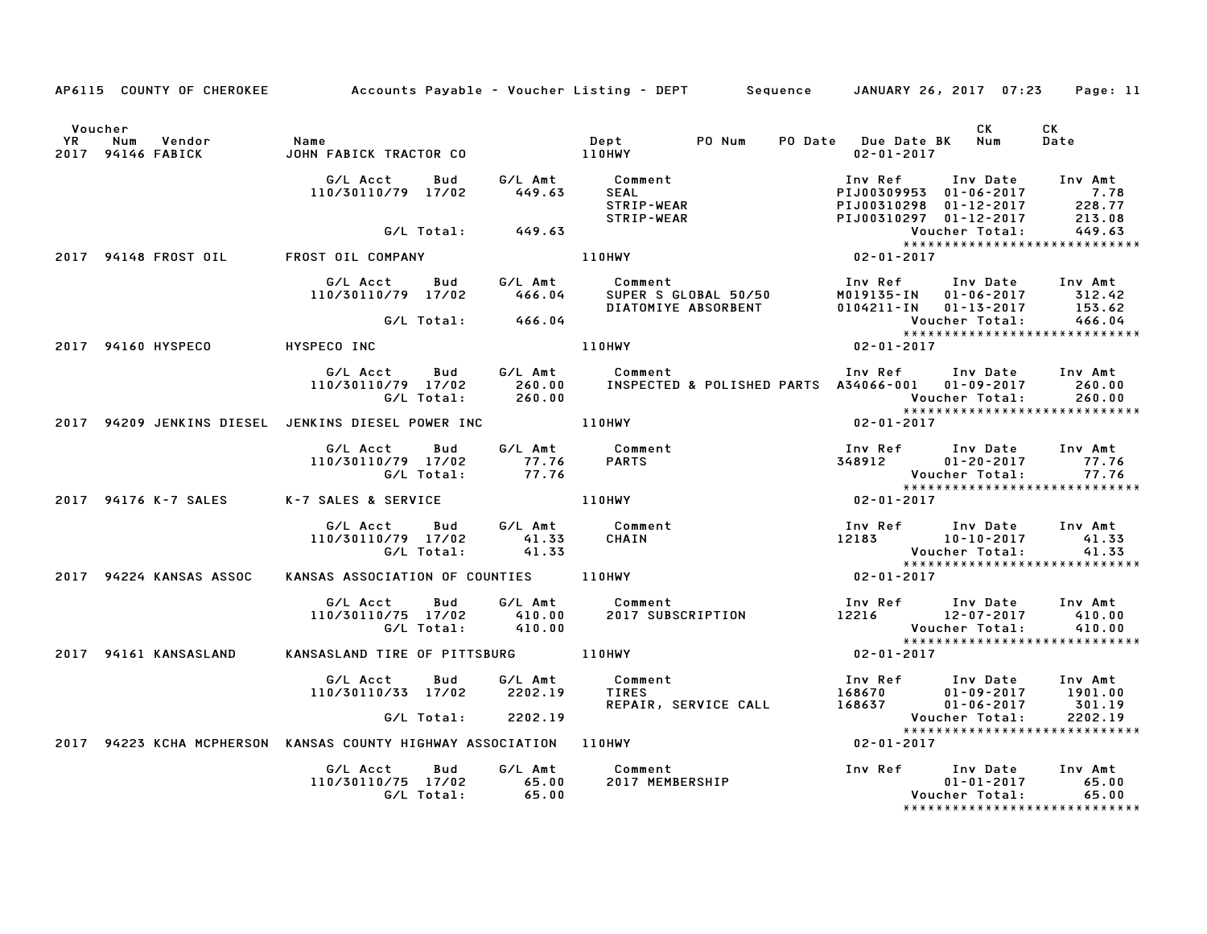|         |                                                    |                                                                                        |       | AP6115 COUNTY OF CHEROKEE Accounts Payable - Voucher Listing - DEPT Sequence JANUARY 26, 2017 07:23 Page: 11                                                                                                                       |                                                                            |                                                                                                                                                    |            |
|---------|----------------------------------------------------|----------------------------------------------------------------------------------------|-------|------------------------------------------------------------------------------------------------------------------------------------------------------------------------------------------------------------------------------------|----------------------------------------------------------------------------|----------------------------------------------------------------------------------------------------------------------------------------------------|------------|
| Voucher | YR Num Vendor   Name<br>2017 94146 FABICK   JOHN F |                                                                                        |       |                                                                                                                                                                                                                                    |                                                                            | CK L                                                                                                                                               | CK<br>Date |
|         |                                                    | G/L Acct<br><b>Bud</b><br>110/30110/79 17/02                                           |       | G/L Amt Comment<br>449.63 SEAL<br>STRIP-WEAR<br>-- STRIP-WEAR                                                                                                                                                                      |                                                                            | Inv Ref Inv Date Inv Amt<br>PIJ00309953 01-06-2017 7.78<br>PIJ00310298 01-12-2017 228.77<br>PIJ00310297 01-12-2017 213.08<br>Voucher Total: 449.63 |            |
|         |                                                    | G/L Total: 449.63                                                                      |       |                                                                                                                                                                                                                                    |                                                                            |                                                                                                                                                    |            |
|         |                                                    | 2017 94148 FROST OIL        FROST OIL COMPANY                                          |       | 110HWY                                                                                                                                                                                                                             | vouc<br>*****<br>02-01-2017                                                |                                                                                                                                                    |            |
|         |                                                    | G/L Acct Bud G/L Amt Comment<br>110/30110/79 17/02 466.04                              |       |                                                                                                                                                                                                                                    |                                                                            |                                                                                                                                                    |            |
|         |                                                    |                                                                                        |       |                                                                                                                                                                                                                                    |                                                                            |                                                                                                                                                    |            |
|         | 2017 94160 HYSPECO HYSPECO INC                     |                                                                                        |       | 110HWY                                                                                                                                                                                                                             | $02 - 01 - 2017$                                                           |                                                                                                                                                    |            |
|         |                                                    |                                                                                        |       | G/L Acct Bud G/L Amt Comment Inv Ref Inv Date Inv Amt<br>110/30110/79 17/02 260.00 INSPECTED & POLISHED PARTS A34066-001 01-09-2017 260.00<br>6/L Total: 260.00 260.00 Voucher Total: 260.00                                       |                                                                            |                                                                                                                                                    |            |
|         |                                                    | 2017 94209 JENKINS DIESEL JENKINS DIESEL POWER INC 110HWY                              |       |                                                                                                                                                                                                                                    | $02 - 01 - 2017$                                                           |                                                                                                                                                    |            |
|         |                                                    | 110/30110/79 17/02 77.76 PARTS<br>G/L Total: 77.76 PARTS                               |       |                                                                                                                                                                                                                                    |                                                                            | Inv Ref       Inv Date     Inv Amt<br>348912           01-20-2017           77.76<br>Voucher Total: 77.76<br>****************************          |            |
|         | 2017 94176 K-7 SALES                               | K-7 SALES & SERVICE                                                                    |       | 110HWY                                                                                                                                                                                                                             | $02 - 01 - 2017$                                                           |                                                                                                                                                    |            |
|         |                                                    | G/L Acct  Bud  G/L Amt  Comment<br>110/30110/79  17/02   41.33   CHAIN<br>G/L Total:   | 41.33 |                                                                                                                                                                                                                                    | Inv Ref Inv Date Inv Amt<br>12183 10-10-2017 41.33<br>Voucher Total: 41.33 | *****************************                                                                                                                      |            |
|         | 2017 94224 KANSAS ASSOC                            | KANSAS ASSOCIATION OF COUNTIES 110HWY                                                  |       |                                                                                                                                                                                                                                    | $02 - 01 - 2017$                                                           |                                                                                                                                                    |            |
|         |                                                    |                                                                                        |       | 6/L Acct     Bud     G/L Amt        Comment                          Inv Ref     Inv Date    Inv Amt<br>110/30110/75   17/02       410.00       2017 SUBSCRIPTION                12216        12-07-2017      410.00<br>6/L Total: |                                                                            |                                                                                                                                                    |            |
|         | 2017 94161 KANSASLAND                              | KANSASLAND TIRE OF PITTSBURG 110HWY                                                    |       |                                                                                                                                                                                                                                    | $02 - 01 - 2017$                                                           |                                                                                                                                                    |            |
|         |                                                    | G/L Acct Bud G/L Amt Comment<br>110/30110/33 17/02 2202.19 TIRES<br>G/L Total: 2202.19 |       |                                                                                                                                                                                                                                    |                                                                            |                                                                                                                                                    | 2202.19    |
|         |                                                    |                                                                                        |       |                                                                                                                                                                                                                                    |                                                                            | Voucher Total:<br>******************************                                                                                                   |            |
|         |                                                    | 2017 94223 KCHA MCPHERSON KANSAS COUNTY HIGHWAY ASSOCIATION 110HWY                     |       |                                                                                                                                                                                                                                    | $02 - 01 - 2017$                                                           |                                                                                                                                                    |            |
|         |                                                    | G/L Acct<br><b>Bud</b><br>110/30110/75 17/02 65.00<br>G/L Total: 65.00                 |       |                                                                                                                                                                                                                                    |                                                                            | $01 - 01 - 2017$ 65.00<br>Voucher Total:<br>*****************************                                                                          | 65.00      |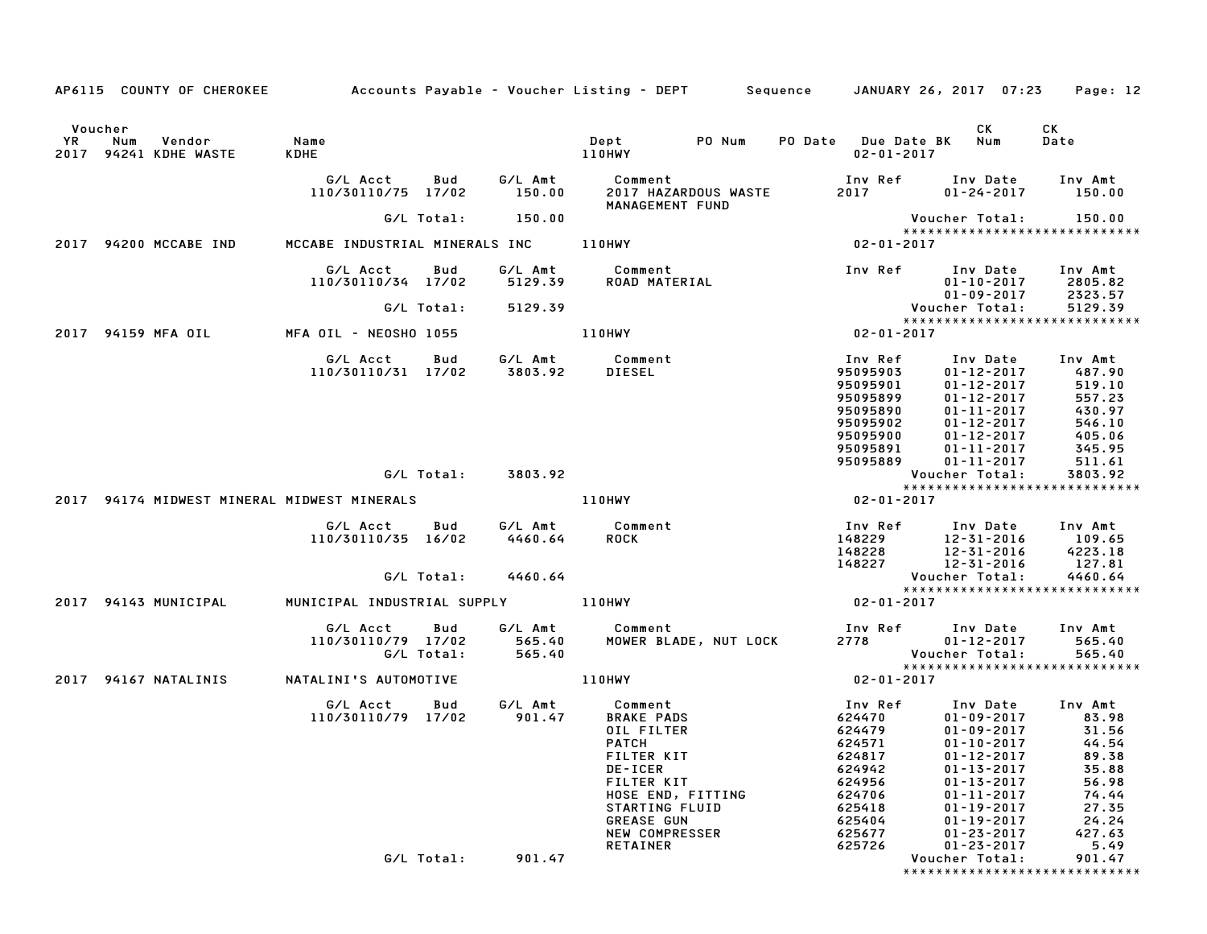|               | AP6115 COUNTY OF CHEROKEE                   |                     |                                       |                   |                               | Accounts Payable – Voucher Listing – DEPT       Sequence     JANUARY 26, 2017  07:23   |                       |                                                                                             |                                                                                                                                                      | Page: 12                                                                      |
|---------------|---------------------------------------------|---------------------|---------------------------------------|-------------------|-------------------------------|----------------------------------------------------------------------------------------|-----------------------|---------------------------------------------------------------------------------------------|------------------------------------------------------------------------------------------------------------------------------------------------------|-------------------------------------------------------------------------------|
|               |                                             |                     |                                       |                   |                               |                                                                                        |                       |                                                                                             |                                                                                                                                                      |                                                                               |
| Voucher<br>YR | Num<br>Vendor<br>2017 94241 KDHE WASTE      | Name<br><b>KDHE</b> |                                       |                   |                               | Dept<br>110HWY                                                                         | PO Num                | PO Date Due Date BK<br>$02 - 01 - 2017$                                                     | CK<br>Num                                                                                                                                            | CK<br>Date                                                                    |
|               |                                             |                     | G/L Acct<br>110/30110/75 17/02        | Bud               | G/L Amt<br>150.00             | Comment<br>MANAGEMENT FUND                                                             | 2017 HAZARDOUS WASTE  | Inv Ref<br>2017 — 2017                                                                      | Inv Date<br>$01 - 24 - 2017$                                                                                                                         | Inv Amt<br>150.00                                                             |
|               |                                             |                     |                                       | G/L Total:        | 150.00                        |                                                                                        |                       |                                                                                             | Voucher Total:                                                                                                                                       | 150.00                                                                        |
|               | 2017 94200 MCCABE IND                       |                     | MCCABE INDUSTRIAL MINERALS INC 110HWY |                   |                               |                                                                                        |                       | 02-01-2017                                                                                  |                                                                                                                                                      | *****************************                                                 |
|               |                                             |                     | G/L Acct<br>110/30110/34 17/02        | Bud               | G/L Amt<br>5129.39            | Comment<br>ROAD MATERIAL                                                               |                       | Inv Ref                                                                                     | Inv Date<br>$01 - 10 - 2017$                                                                                                                         | Inv Amt<br>2805.82                                                            |
|               |                                             |                     |                                       | G/L Total:        | 5129.39                       |                                                                                        |                       |                                                                                             | $01 - 09 - 2017$<br>Voucher Total:                                                                                                                   | 2323.57<br>5129.39                                                            |
|               |                                             |                     |                                       |                   |                               |                                                                                        |                       |                                                                                             |                                                                                                                                                      | *****************************                                                 |
|               | 2017 94159 MFA OIL                          |                     | MFA OIL - NEOSHO 1055                 |                   |                               | 110HWY                                                                                 |                       | 02-01-2017                                                                                  |                                                                                                                                                      |                                                                               |
|               |                                             |                     | G/L Acct<br>110/30110/31 17/02        | Bud               | G/L Amt<br>3803.92            | Comment<br>DIESEL                                                                      |                       | Inv Ref<br>95095903<br>95095901<br>95095899<br>95095890<br>95095902<br>95095900<br>95095891 | Inv Date<br>$01 - 12 - 2017$<br>$01 - 12 - 2017$<br>$01 - 12 - 2017$<br>$01 - 11 - 2017$<br>$01 - 12 - 2017$<br>$01 - 12 - 2017$<br>$01 - 11 - 2017$ | Inv Amt<br>487.90<br>519.10<br>557.23<br>430.97<br>546.10<br>405.06<br>345.95 |
|               |                                             |                     |                                       |                   |                               |                                                                                        |                       | 95095889                                                                                    | $01 - 11 - 2017$                                                                                                                                     | 511.61                                                                        |
|               |                                             |                     |                                       |                   | G/L Total: 3803.92            |                                                                                        |                       |                                                                                             | Voucher Total:                                                                                                                                       | 3803.92<br>*****************************                                      |
|               | 2017 94174 MIDWEST MINERAL MIDWEST MINERALS |                     |                                       |                   |                               | <b>110HWY</b>                                                                          |                       | 02-01-2017                                                                                  |                                                                                                                                                      |                                                                               |
|               |                                             |                     | G/L Acct<br>110/30110/35 16/02        | Bud<br>G/L Total: | G/L Amt<br>4460.64<br>4460.64 | Comment<br><b>ROCK</b>                                                                 |                       | Inv Ref<br>148229<br>148228<br>148227                                                       | Inv Date<br>12-31-2016<br>12-31-2016<br>12-31-2016<br>Voucher Total:                                                                                 | Inv Amt<br>109.65<br>4223.18<br>127.81<br>4460.64                             |
|               |                                             |                     |                                       |                   |                               |                                                                                        |                       |                                                                                             |                                                                                                                                                      | *****************************                                                 |
|               | 2017 94143 MUNICIPAL                        |                     | MUNICIPAL INDUSTRIAL SUPPLY           |                   |                               | 110HWY                                                                                 |                       | 02-01-2017                                                                                  |                                                                                                                                                      |                                                                               |
|               |                                             |                     | G/L Acct<br>110/30110/79 17/02        | Bud<br>G/L Total: | G/L Amt<br>565.40<br>565.40   | Comment                                                                                | MOWER BLADE, NUT LOCK | Inv Ref<br>2778 — 1                                                                         | Inv Date<br>$01 - 12 - 2017$<br>Voucher Total:                                                                                                       | Inv Amt<br>565.40<br>565.40                                                   |
|               | 2017 94167 NATALINIS                        |                     | NATALINI'S AUTOMOTIVE                 |                   |                               | 110HWY                                                                                 |                       | $02 - 01 - 2017$                                                                            |                                                                                                                                                      | ******************************                                                |
|               |                                             |                     | G/L Acct<br>110/30110/79 17/02        | Bud               | G/L Amt<br>901.47             | Comment<br><b>BRAKE PADS</b><br>OIL FILTER<br><b>PATCH</b><br>FILTER KIT<br>DE-ICER    |                       | Inv Ref<br>624470<br>624479<br>624571<br>624817<br>624942                                   | Inv Date<br>$01 - 09 - 2017$<br>$01 - 09 - 2017$<br>$01 - 10 - 2017$<br>$01 - 12 - 2017$<br>$01 - 13 - 2017$                                         | Inv Amt<br>83.98<br>31.56<br>44.54<br>89.38<br>35.88                          |
|               |                                             |                     |                                       |                   |                               | FILTER KIT<br>STARTING FLUID<br><b>GREASE GUN</b><br>NEW COMPRESSER<br><b>RETAINER</b> | HOSE END, FITTING     | 624956<br>624706<br>625418<br>625404<br>625677<br>625726                                    | $01 - 13 - 2017$<br>$01 - 11 - 2017$<br>$01 - 19 - 2017$<br>$01 - 19 - 2017$<br>$01 - 23 - 2017$<br>$01 - 23 - 2017$                                 | 56.98<br>74.44<br>27.35<br>24.24<br>427.63<br>5.49                            |
|               |                                             |                     |                                       | G/L Total:        | 901.47                        |                                                                                        |                       |                                                                                             | Voucher Total:                                                                                                                                       | 901.47<br>*****************************                                       |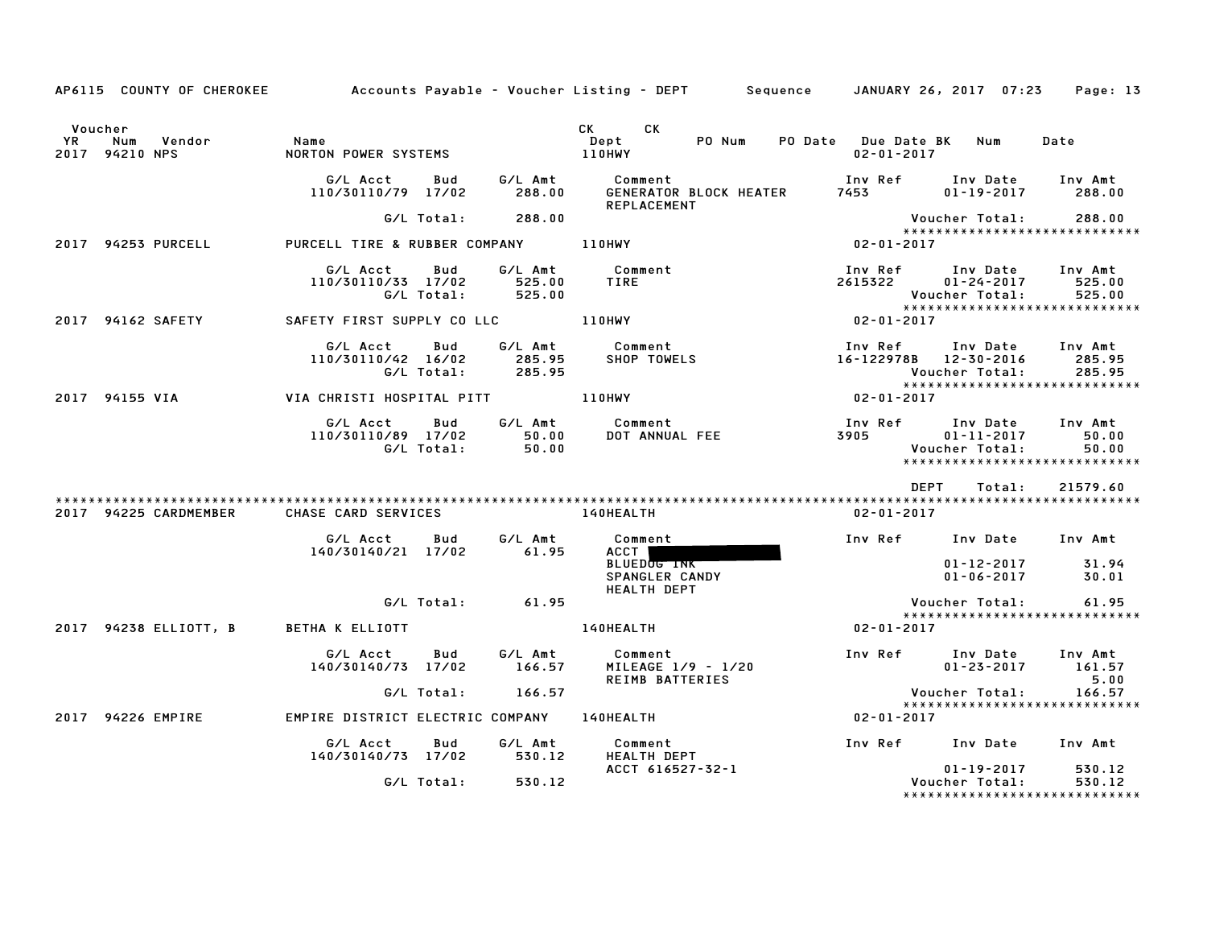|               |                                       |                                                               |            |                                      | AP6115 COUNTY OF CHEROKEE Accounts Payable – Voucher Listing – DEPT Sequence JANUARY 26, 2017 07:23 Page: 13 |                                             |                                             |                                                   |
|---------------|---------------------------------------|---------------------------------------------------------------|------------|--------------------------------------|--------------------------------------------------------------------------------------------------------------|---------------------------------------------|---------------------------------------------|---------------------------------------------------|
| Voucher<br>YR | Num<br>Vendor<br>2017 94210 NPS       | Name<br>NORTON POWER SYSTEMS                                  |            |                                      | CK CK<br>PO Num<br>Dept<br>110HWY                                                                            | PO Date Due Date BK Num<br>$02 - 01 - 2017$ |                                             | Date                                              |
|               |                                       | G/L Acct<br>110/30110/79 17/02                                |            | Bud G/LAmt<br>288.00                 | Comment<br>GENERATOR BLOCK HEATER<br><b>REPLACEMENT</b>                                                      | Inv Ref<br>7453                             | Inv Date Inv Amt<br>$01 - 19 - 2017$ 288.00 |                                                   |
|               |                                       |                                                               |            | G/L Total: 288.00                    |                                                                                                              |                                             | Voucher Total:                              | 288.00                                            |
|               | 2017 94253 PURCELL                    | PURCELL TIRE & RUBBER COMPANY 110HWY                          |            |                                      |                                                                                                              | 02-01-2017                                  |                                             | *****************************                     |
|               |                                       | G/L Acct Bud<br>110/30110/33 17/02                            | G/L Total: | G/L Amt<br>525.00<br>525.00          | Comment<br>TIRE                                                                                              | Inv Ref Inv Date<br>2615322                 | $01 - 24 - 2017$<br>Voucher Total:          | Inv Amt<br>525.00<br>525.00                       |
|               | 2017 94162 SAFETY                     |                                                               |            |                                      |                                                                                                              | $02 - 01 - 2017$                            |                                             |                                                   |
|               |                                       | G/LAcct Bud<br>110/30110/42 16/02 285.95<br>G/L Total: 285.95 |            | G/L Amt                              | Comment<br>SHOP TOWELS 16-122978B 12-30-2016                                                                 | Inv Ref Inv Date Inv Amt                    | Voucher Total:                              | 285.95<br>285.95                                  |
|               | 2017 94155 VIA                        | VIA CHRISTI HOSPITAL PITT AND ANNY                            |            |                                      |                                                                                                              | $02 - 01 - 2017$                            |                                             |                                                   |
|               |                                       | G/L Acct<br>110/30110/89 17/02                                | Bud        | G/L Amt<br>50.00<br>G/L Total: 50.00 | Comment<br>Comment<br>DOT ANNUAL FEE                                                                         | Inv Ref Inv Date<br>3905 2007               | $01 - 11 - 2017$<br>Voucher Total:          | Inv Amt<br>50.00<br>50.00                         |
|               |                                       |                                                               |            |                                      |                                                                                                              | DEPT                                        | Total:                                      | 21579.60                                          |
|               | 2017 94225 CARDMEMBER                 | CHASE CARD SERVICES                                           |            |                                      | 140HEALTH                                                                                                    | 02-01-2017                                  |                                             |                                                   |
|               |                                       | G/L Acct<br>140/30140/21 17/02                                | Bud        | G/L Amt<br>61.95                     | Comment<br>ACCT I                                                                                            | Inv Ref Inv Date Inv Amt                    |                                             |                                                   |
|               |                                       |                                                               |            |                                      | <b>BLUEDOG INK</b><br>SPANGLER CANDY<br>HEALTH DEPT                                                          |                                             | 01-12-2017<br>$01 - 06 - 2017$              | 31.94<br>30.01                                    |
|               |                                       |                                                               |            | $G/L$ Total: 61.95                   |                                                                                                              |                                             | Voucher Total:                              | 61.95                                             |
|               | 2017 94238 ELLIOTT, B BETHA K ELLIOTT |                                                               |            |                                      | <b>140HEALTH</b>                                                                                             | $02 - 01 - 2017$                            |                                             | *****************************                     |
|               |                                       | G/L Acct<br>140/30140/73 17/02                                |            | Bud G/LAmt<br>166.57                 | Comment<br>MILEAGE 1/9 - 1/20<br>REIMB BATTERIES                                                             |                                             | Inv Ref Inv Date<br>$01 - 23 - 2017$        | Inv Amt<br>161.57<br>5.00                         |
|               |                                       |                                                               |            | G/L Total: 166.57                    |                                                                                                              |                                             | Voucher Total:                              | 166.57                                            |
|               | 2017 94226 EMPIRE                     |                                                               |            |                                      | EMPIRE DISTRICT ELECTRIC COMPANY 140HEALTH                                                                   | 02-01-2017                                  |                                             | *****************************                     |
|               |                                       | G/L Acct<br>140/30140/73 17/02 530.12                         | <b>Bud</b> | G/L Amt                              | Comment<br><b>HEALTH DEPT</b>                                                                                | Inv Ref Inv Date Inv Amt                    |                                             |                                                   |
|               |                                       |                                                               |            | G/L Total: 530.12                    | ACCT 616527-32-1                                                                                             |                                             | $01 - 19 - 2017$<br>Voucher Total:          | 530.12<br>530.12<br>***************************** |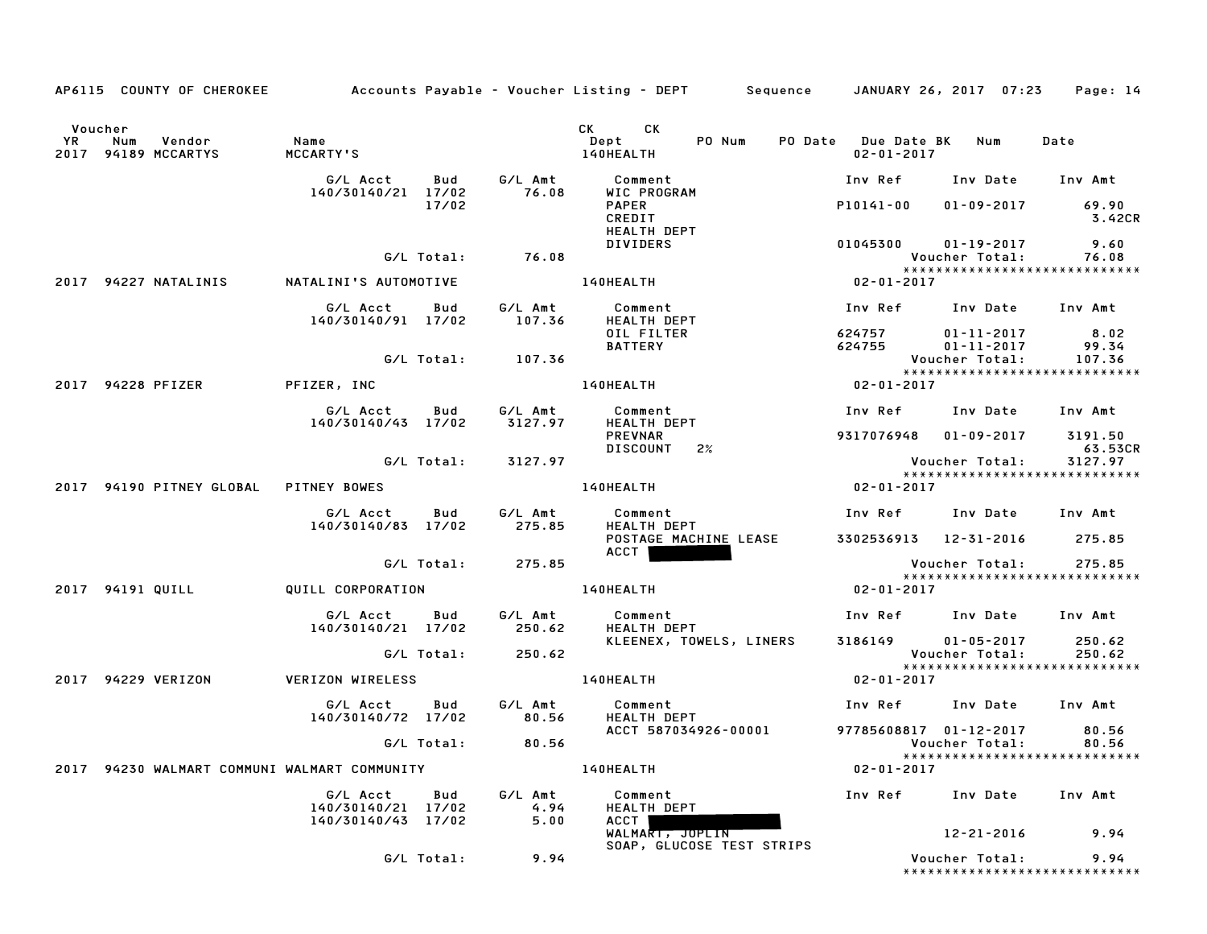|    |                                                 |                                                       |                                  | AP6115 COUNTY OF CHEROKEE Accounts Payable - Voucher Listing - DEPT Sequence JANUARY 26, 2017 07:23 Page: 14 |                                                         |                                  |
|----|-------------------------------------------------|-------------------------------------------------------|----------------------------------|--------------------------------------------------------------------------------------------------------------|---------------------------------------------------------|----------------------------------|
| YR | Voucher<br>Vendor<br>Num<br>2017 94189 MCCARTYS | Name<br>MCCARTY'S                                     |                                  | CK CK<br><b>Dept</b><br>PO Num<br>140HEALTH                                                                  | PO Date Due Date BK Num<br>$02 - 01 - 2017$             | Date                             |
|    |                                                 | G/L Acct Bud                                          |                                  |                                                                                                              | Inv Ref Inv Date Inv Amt                                |                                  |
|    |                                                 | 140/30140/21 17/02                                    | 17/02                            | <b>PAPER</b><br>CREDIT<br><b>HEALTH DEPT</b>                                                                 | P10141-00                                               | $01 - 09 - 2017$ 69.90<br>3.42CR |
|    |                                                 |                                                       | G/L Total: 76.08                 | DIVIDERS                                                                                                     | $01045300$ $01-19-2017$<br>Voucher Total:               | 9.60<br>76.08                    |
|    | 2017 94227 NATALINIS     NATALINI'S AUTOMOTIVE  |                                                       |                                  | <b>140HEALTH</b>                                                                                             | *****************************<br>$02 - 01 - 2017$       |                                  |
|    |                                                 | G/L Acct  Bud  G/L Amt<br>140/30140/91  17/02  107.36 |                                  | Comment<br><b>HEALTH DEPT</b>                                                                                | Inv Ref Inv Date Inv Amt                                |                                  |
|    |                                                 |                                                       |                                  | OIL FILTER<br><b>BATTERY</b>                                                                                 | 624757 01-11-2017<br>624755 01-11-2017                  | 8.02<br>99.34                    |
|    |                                                 |                                                       | G/L Total: 107.36                |                                                                                                              | Voucher Total:<br>*****************************         | 107.36                           |
|    | 2017 94228 PFIZER                               | PFIZER, INC                                           |                                  | <b>140HEALTH</b>                                                                                             | 02-01-2017                                              |                                  |
|    |                                                 | G/L Acct Bud<br>140/30140/43 17/02 3127.97            | G/L Amt                          | Comment<br>HEALTH DEPT                                                                                       | Inv Ref Inv Date Inv Amt                                |                                  |
|    |                                                 |                                                       |                                  | PREVNAR<br>DISCOUNT 2%                                                                                       | 9317076948  01-09-2017  3191.50                         | 63.53CR                          |
|    |                                                 |                                                       | G/L Total: 3127.97               |                                                                                                              | Voucher Total: 3127.97<br>***************************** |                                  |
|    | 2017 94190 PITNEY GLOBAL PITNEY BOWES           |                                                       |                                  | <b>140HEALTH</b>                                                                                             | $02 - 01 - 2017$                                        |                                  |
|    |                                                 | G/L Acct<br>140/30140/83 17/02 275.85                 | <b>Bud</b><br>G/L Amt            | Comment<br><b>HEALTH DEPT</b>                                                                                | Inv Ref      Inv Date     Inv Amt                       |                                  |
|    |                                                 |                                                       |                                  | POSTAGE MACHINE LEASE 3302536913 12-31-2016 275.85<br>ACCT                                                   |                                                         |                                  |
|    |                                                 |                                                       | G/L Total: 275.85                |                                                                                                              | Voucher Total: 275.85                                   |                                  |
|    | 2017 94191 QUILL                                | QUILL CORPORATION                                     |                                  | 140HEALTH                                                                                                    | $02 - 01 - 2017$                                        |                                  |
|    |                                                 | G/L Acct Bud G/L Amt<br>140/30140/21 17/02 250.62     |                                  | Comment<br><b>HEALTH DEPT</b>                                                                                | Inv Ref Inv Date Inv Amt                                |                                  |
|    |                                                 |                                                       | G/L Total: 250.62                | KLEENEX, TOWELS, LINERS 3186149 01-05-2017                                                                   | Voucher Total:                                          | 250.62<br>250.62                 |
|    | 2017 94229 VERIZON                              | <b>VERIZON WIRELESS</b>                               |                                  | 140HEALTH                                                                                                    | *****************************<br>$02 - 01 - 2017$       |                                  |
|    |                                                 | G/L Acct Bud<br>140/30140/72 17/02 80.56              | G/L Amt                          | Comment<br><b>HEALTH DEPT</b>                                                                                | Inv Ref Inv Date Inv Amt                                |                                  |
|    |                                                 |                                                       | G/L Total: 80.56                 | ACCT 587034926-00001                                                                                         | 97785608817 01-12-2017<br>Voucher Total:                | 80.56<br>80.56                   |
|    | 2017 94230 WALMART COMMUNI WALMART COMMUNITY    |                                                       |                                  | <b>140HEALTH</b>                                                                                             | ******************************<br>$02 - 01 - 2017$      |                                  |
|    |                                                 | G/L Acct<br>140/30140/21 17/02                        | G/L Amt<br>Bud<br>$4.94$<br>5.00 | Comment<br>HEALTH DEPT                                                                                       | Inv Ref Inv Date Inv Amt                                |                                  |
|    |                                                 | 140/30140/43 17/02                                    |                                  | ACCT  <br>WALMART, JOPLIN<br>SOAP, GLUCOSE TEST STRIPS                                                       |                                                         | 12-21-2016 9.94                  |
|    |                                                 |                                                       | $G/L$ Total: 9.94                |                                                                                                              | Voucher Total: 9.94<br>*****************************    |                                  |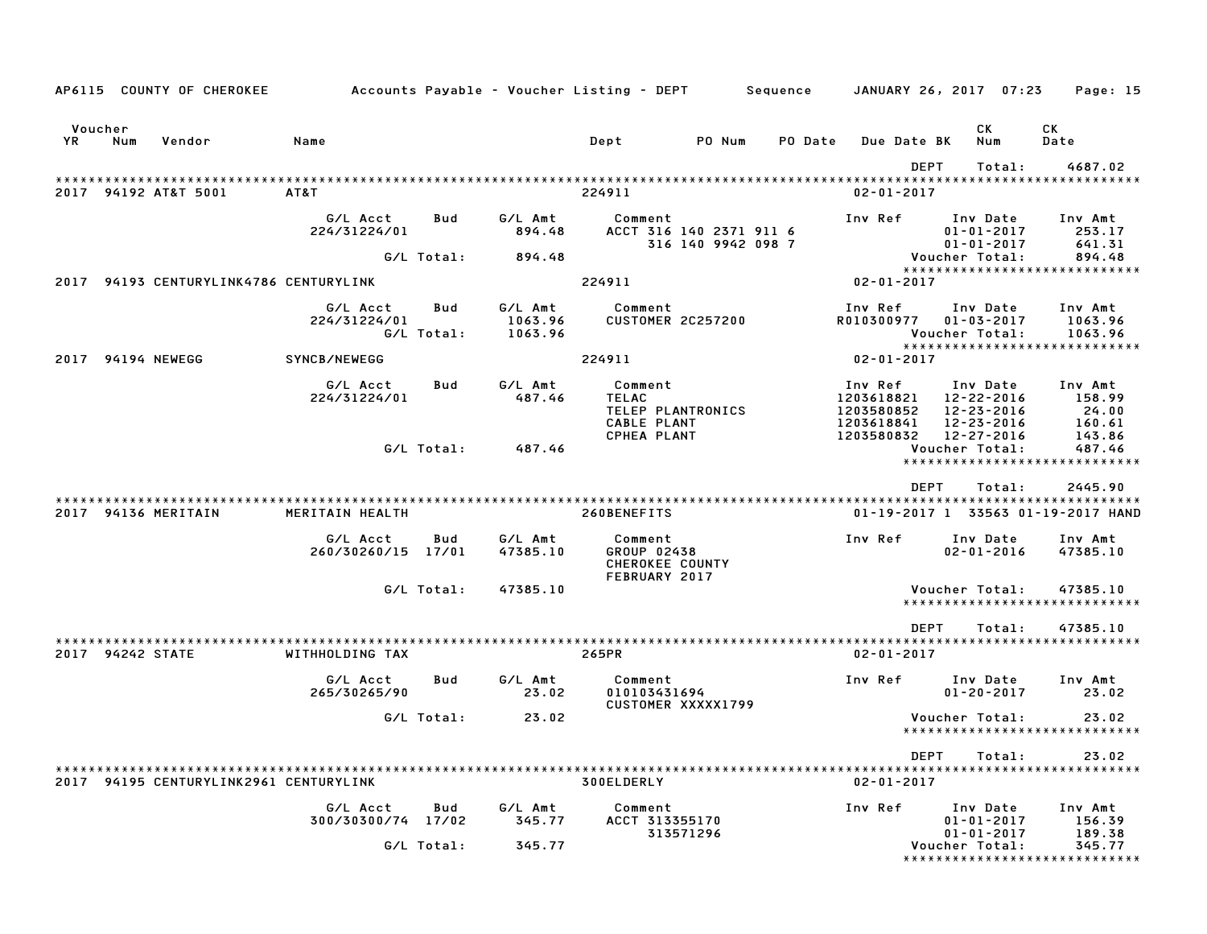|                  |     | AP6115 COUNTY OF CHEROKEE              | Accounts Payable – Voucher Listing – DEPT         Sequence |                   |                               |                                                            |                                               |         |                                                   | JANUARY 26, 2017 07:23                                   | Page: 15                                           |
|------------------|-----|----------------------------------------|------------------------------------------------------------|-------------------|-------------------------------|------------------------------------------------------------|-----------------------------------------------|---------|---------------------------------------------------|----------------------------------------------------------|----------------------------------------------------|
| Voucher<br>YR    | Num | Vendor                                 | Name                                                       |                   |                               | Dept                                                       | PO Num                                        | PO Date | <b>Due Date BK</b>                                | CK<br>Num                                                | CК<br>Date                                         |
|                  |     | 2017 94192 AT&T 5001                   | AT&T                                                       |                   |                               | 224911                                                     |                                               |         | $02 - 01 - 2017$                                  | <b>DEPT</b><br>Total:                                    | 4687.02                                            |
|                  |     |                                        | G/L Acct<br>224/31224/01                                   | Bud               | G/L Amt<br>894.48             | Comment                                                    | ACCT 316 140 2371 911 6<br>316 140 9942 098 7 |         | Inv Ref                                           | Inv Date<br>$01 - 01 - 2017$<br>$01 - 01 - 2017$         | Inv Amt<br>253.17<br>641.31                        |
|                  |     |                                        |                                                            | G/L Total:        | 894.48                        |                                                            |                                               |         |                                                   | Voucher Total:                                           | 894.48<br>*****************************            |
|                  |     | 2017 94193 CENTURYLINK4786 CENTURYLINK |                                                            |                   |                               | 224911                                                     |                                               |         | $02 - 01 - 2017$                                  |                                                          |                                                    |
|                  |     |                                        | G/L Acct<br>224/31224/01                                   | Bud<br>G/L Total: | G/L Amt<br>1063.96<br>1063.96 | Comment                                                    | <b>CUSTOMER 2C257200</b>                      |         | Inv Ref<br>R010300977                             | Inv Date<br>$01 - 03 - 2017$<br>Voucher Total:           | Inv Amt<br>1063.96<br>1063.96                      |
| 2017             |     | 94194 NEWEGG                           | SYNCB/NEWEGG                                               |                   |                               | 224911                                                     |                                               |         | $02 - 01 - 2017$                                  |                                                          | *****************************                      |
|                  |     |                                        | G/L Acct<br>224/31224/01                                   | Bud               | G/L Amt<br>487.46             | Comment<br><b>TELAC</b><br>CABLE PLANT                     | TELEP PLANTRONICS                             |         | Inv Ref<br>1203618821<br>1203580852<br>1203618841 | Inv Date<br>12-22-2016<br>12-23-2016<br>$12 - 23 - 2016$ | Inv Amt<br>158.99<br>24.00<br>160.61               |
|                  |     |                                        |                                                            | G/L Total:        | 487.46                        | CPHEA PLANT                                                |                                               |         | 1203580832                                        | 12-27-2016<br>Voucher Total:                             | 143.86<br>487.46<br>****************************** |
|                  |     |                                        |                                                            |                   |                               |                                                            |                                               |         |                                                   | <b>DEPT</b><br>Total:                                    | 2445.90                                            |
|                  |     | 2017 94136 MERITAIN                    | MERITAIN HEALTH                                            |                   |                               | 260BENEFITS                                                |                                               |         |                                                   |                                                          | 01-19-2017 1 33563 01-19-2017 HAND                 |
|                  |     |                                        | G/L Acct<br>260/30260/15 17/01                             | Bud               | G/L Amt<br>47385.10           | Comment<br>GROUP 02438<br>CHEROKEE COUNTY<br>FEBRUARY 2017 |                                               |         | Inv Ref                                           | Inv Date<br>$02 - 01 - 2016$                             | Inv Amt<br>47385.10                                |
|                  |     |                                        |                                                            | G/L Total:        | 47385.10                      |                                                            |                                               |         |                                                   | Voucher Total:                                           | 47385.10<br>*****************************          |
|                  |     |                                        |                                                            |                   |                               |                                                            |                                               |         |                                                   | <b>DEPT</b><br>Total:                                    | 47385.10                                           |
| 2017 94242 STATE |     |                                        | WITHHOLDING TAX                                            |                   |                               | 265PR                                                      |                                               |         | $02 - 01 - 2017$                                  |                                                          |                                                    |
|                  |     |                                        | G/L Acct<br>265/30265/90                                   | Bud               | G/L Amt<br>23.02              | Comment<br>010103431694                                    | CUSTOMER XXXXX1799                            |         | Inv Ref                                           | Inv Date<br>$01 - 20 - 2017$                             | Inv Amt<br>23.02                                   |
|                  |     |                                        |                                                            | G/L Total:        | 23.02                         |                                                            |                                               |         |                                                   | Voucher Total:                                           | 23.02<br>*****************************             |
|                  |     |                                        |                                                            |                   |                               |                                                            |                                               |         |                                                   | DEPT<br>Total:                                           | 23.02                                              |
|                  |     | 2017 94195 CENTURYLINK2961 CENTURYLINK |                                                            |                   |                               | 300ELDERLY                                                 |                                               |         | $02 - 01 - 2017$                                  |                                                          |                                                    |
|                  |     |                                        | G/L Acct<br>300/30300/74 17/02                             | Bud               | G/L Amt<br>345.77             | Comment<br>ACCT 313355170                                  | 313571296                                     |         | Inv Ref                                           | Inv Date<br>$01 - 01 - 2017$<br>$01 - 01 - 2017$         | Inv Amt<br>156.39<br>189.38                        |
|                  |     |                                        |                                                            | G/L Total:        | 345.77                        |                                                            |                                               |         |                                                   | Voucher Total:                                           | 345.77<br>*****************************            |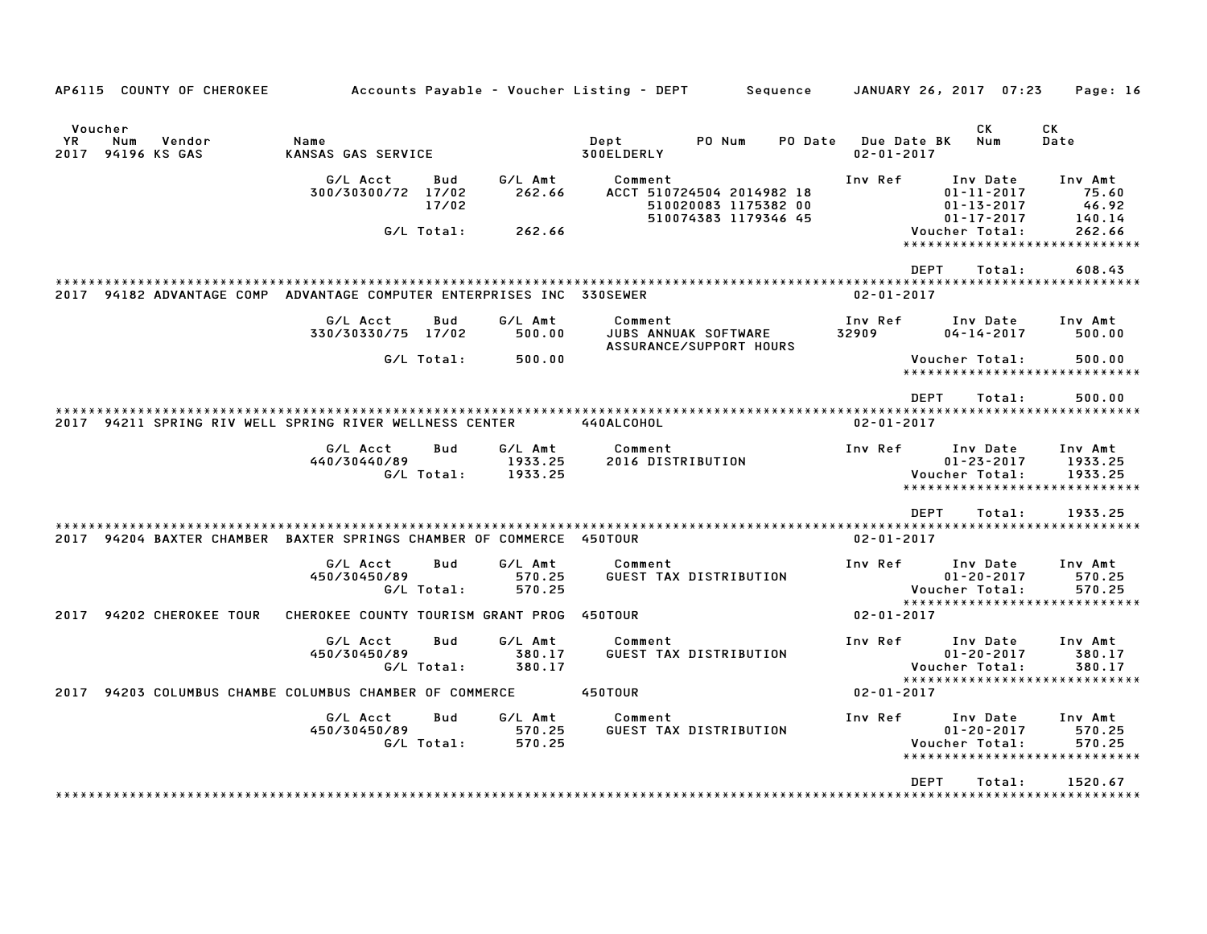| AP6115 COUNTY OF CHEROKEE                                            |                                        |              |                               | Accounts Payable – Voucher Listing – DEPT | Sequence                                                                  |         |                                 | JANUARY 26, 2017 07:23                                               | Page: 16                                                      |
|----------------------------------------------------------------------|----------------------------------------|--------------|-------------------------------|-------------------------------------------|---------------------------------------------------------------------------|---------|---------------------------------|----------------------------------------------------------------------|---------------------------------------------------------------|
| Voucher<br>YR.<br>Num<br>Vendor<br>2017 94196 KS GAS                 | Name<br>KANSAS GAS SERVICE             |              |                               | Dept<br>300ELDERLY                        | PO Num                                                                    | PO Date | Due Date BK<br>$02 - 01 - 2017$ | СK<br>Num                                                            | <b>CK</b><br>Date                                             |
|                                                                      | G/L Acct<br>300/30300/72 17/02         | Bud<br>17/02 | G/L Amt<br>262.66             | Comment                                   | ACCT 510724504 2014982 18<br>510020083 1175382 00<br>510074383 1179346 45 |         | Inv Ref                         | Inv Date<br>$01 - 11 - 2017$<br>$01 - 13 - 2017$<br>$01 - 17 - 2017$ | Inv Amt<br>75.60<br>46.92<br>140.14                           |
|                                                                      | G/L Total:                             |              | 262.66                        |                                           |                                                                           |         |                                 | Voucher Total:<br><b>DEPT</b><br>Total:                              | 262.66<br>608.43                                              |
| 94182 ADVANTAGE COMP<br>2017                                         | ADVANTAGE COMPUTER ENTERPRISES INC     |              |                               | <b>330SEWER</b>                           |                                                                           |         | $02 - 01 - 2017$                |                                                                      |                                                               |
|                                                                      | G/L Acct<br>330/30330/75 17/02         | Bud          | G/L Amt<br>500.00             | Comment                                   | JUBS ANNUAK SOFTWARE<br>ASSURANCE/SUPPORT HOURS                           |         | Inv Ref<br>32909                | Inv Date<br>$04 - 14 - 2017$                                         | Inv Amt<br>500.00                                             |
|                                                                      | G/L Total:                             |              | 500.00                        |                                           |                                                                           |         |                                 | Voucher Total:<br><b>DEPT</b>                                        | 500.00<br>*****************************                       |
| 94211 SPRING RIV WELL SPRING RIVER WELLNESS CENTER<br>2017           |                                        |              |                               | 440ALCOHOL                                |                                                                           |         | $02 - 01 - 2017$                | Total:                                                               | 500.00                                                        |
|                                                                      | G/L Acct<br>440/30440/89<br>G/L Total: | <b>Bud</b>   | G/L Amt<br>1933.25<br>1933.25 | Comment<br>2016 DISTRIBUTION              |                                                                           |         | Inv Ref                         | Inv Date<br>$01 - 23 - 2017$<br>Voucher Total:<br>****************** | Inv Amt<br>1933.25<br>1933.25<br>************                 |
| 2017 94204 BAXTER CHAMBER BAXTER SPRINGS CHAMBER OF COMMERCE 450TOUR |                                        |              |                               |                                           |                                                                           |         | $02 - 01 - 2017$                | <b>DEPT</b><br>Total:                                                | 1933.25                                                       |
|                                                                      | G/L Acct<br>450/30450/89<br>G/L Total: | Bud          | G/L Amt<br>570.25<br>570.25   | Comment                                   | <b>GUEST TAX DISTRIBUTION</b>                                             |         | Inv Ref                         | Inv Date<br>$01 - 20 - 2017$<br>Voucher Total:                       | Inv Amt<br>570.25<br>570.25                                   |
| 94202 CHEROKEE TOUR<br>2017                                          | CHEROKEE COUNTY TOURISM GRANT PROG     |              |                               | 450TOUR                                   |                                                                           |         | $02 - 01 - 2017$                |                                                                      | *****************************                                 |
|                                                                      | G/L Acct<br>450/30450/89<br>G/L Total: | Bud          | G/L Amt<br>380.17<br>380.17   | Comment                                   | <b>GUEST TAX DISTRIBUTION</b>                                             |         | Inv Ref                         | Inv Date<br>$01 - 20 - 2017$<br>Voucher Total:                       | Inv Amt<br>380.17<br>380.17<br>****************************** |
| 94203 COLUMBUS CHAMBE COLUMBUS CHAMBER OF COMMERCE<br>2017           |                                        |              |                               | 450TOUR                                   |                                                                           |         | $02 - 01 - 2017$                |                                                                      |                                                               |
|                                                                      | G/L Acct<br>450/30450/89<br>G/L Total: | <b>Bud</b>   | G/L Amt<br>570.25<br>570.25   | Comment                                   | GUEST TAX DISTRIBUTION                                                    |         | Inv Ref                         | Inv Date<br>$01 - 20 - 2017$<br>Voucher Total:                       | Inv Amt<br>570.25<br>570.25<br>*****************************  |
|                                                                      |                                        |              |                               |                                           |                                                                           |         |                                 | <b>DEPT</b><br>Total:                                                | 1520.67                                                       |